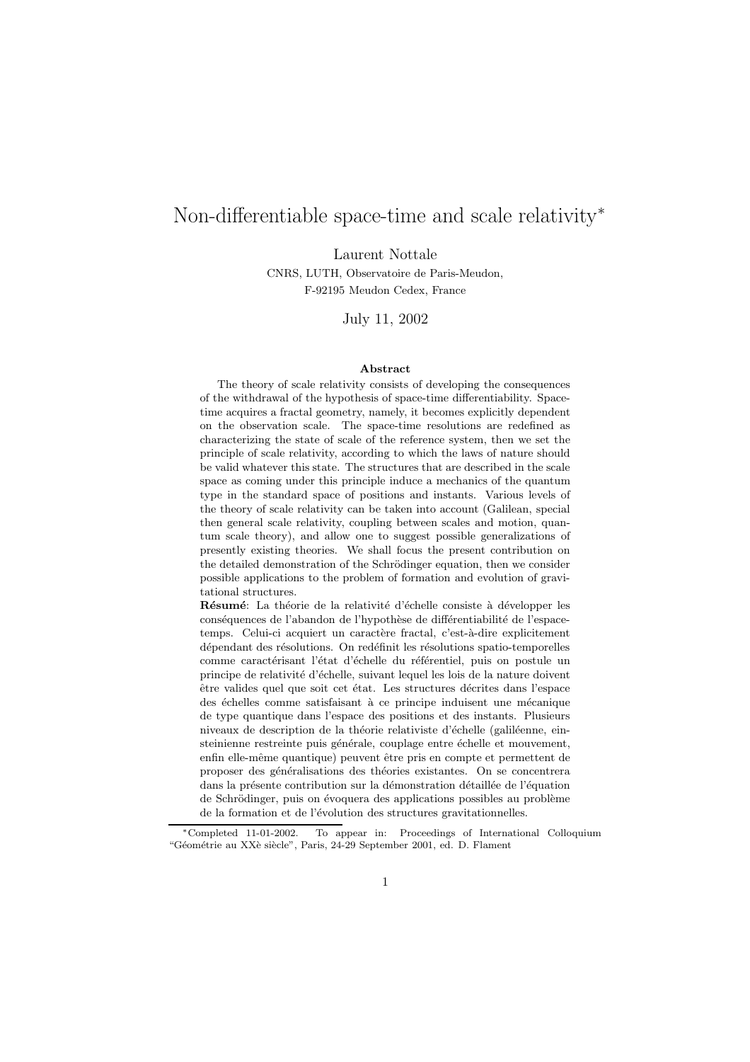# Non-differentiable space-time and scale relativity<sup>\*</sup>

Laurent Nottale

CNRS, LUTH, Observatoire de Paris-Meudon, F-92195 Meudon Cedex, France

July 11, 2002

#### Abstract

The theory of scale relativity consists of developing the consequences of the withdrawal of the hypothesis of space-time differentiability. Spacetime acquires a fractal geometry, namely, it becomes explicitly dependent on the observation scale. The space-time resolutions are redefined as characterizing the state of scale of the reference system, then we set the principle of scale relativity, according to which the laws of nature should be valid whatever this state. The structures that are described in the scale space as coming under this principle induce a mechanics of the quantum type in the standard space of positions and instants. Various levels of the theory of scale relativity can be taken into account (Galilean, special then general scale relativity, coupling between scales and motion, quantum scale theory), and allow one to suggest possible generalizations of presently existing theories. We shall focus the present contribution on the detailed demonstration of the Schrödinger equation, then we consider possible applications to the problem of formation and evolution of gravitational structures.

Résumé: La théorie de la relativité d'échelle consiste à développer les conséquences de l'abandon de l'hypothèse de différentiabilité de l'espacetemps. Celui-ci acquiert un caractère fractal, c'est-à-dire explicitement dépendant des résolutions. On redéfinit les résolutions spatio-temporelles comme caractérisant l'état d'échelle du référentiel, puis on postule un principe de relativité d'échelle, suivant lequel les lois de la nature doivent être valides quel que soit cet état. Les structures décrites dans l'espace des échelles comme satisfaisant à ce principe induisent une mécanique de type quantique dans l'espace des positions et des instants. Plusieurs niveaux de description de la théorie relativiste d'échelle (galiléenne, einsteinienne restreinte puis générale, couplage entre échelle et mouvement, enfin elle-même quantique) peuvent être pris en compte et permettent de proposer des généralisations des théories existantes. On se concentrera dans la présente contribution sur la démonstration détaillée de l'équation de Schrödinger, puis on évoquera des applications possibles au problème de la formation et de l'évolution des structures gravitationnelles.

<sup>∗</sup>Completed 11-01-2002. To appear in: Proceedings of International Colloquium "Géométrie au XXè siècle", Paris, 24-29 September 2001, ed. D. Flament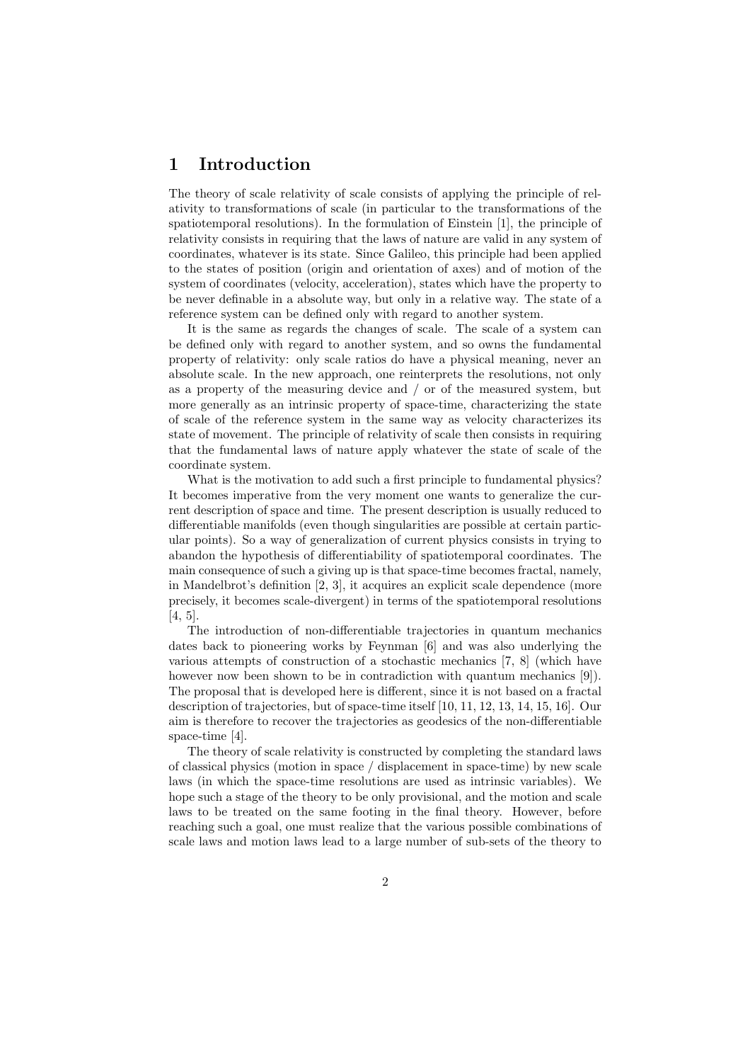## 1 Introduction

The theory of scale relativity of scale consists of applying the principle of relativity to transformations of scale (in particular to the transformations of the spatiotemporal resolutions). In the formulation of Einstein [1], the principle of relativity consists in requiring that the laws of nature are valid in any system of coordinates, whatever is its state. Since Galileo, this principle had been applied to the states of position (origin and orientation of axes) and of motion of the system of coordinates (velocity, acceleration), states which have the property to be never definable in a absolute way, but only in a relative way. The state of a reference system can be defined only with regard to another system.

It is the same as regards the changes of scale. The scale of a system can be defined only with regard to another system, and so owns the fundamental property of relativity: only scale ratios do have a physical meaning, never an absolute scale. In the new approach, one reinterprets the resolutions, not only as a property of the measuring device and / or of the measured system, but more generally as an intrinsic property of space-time, characterizing the state of scale of the reference system in the same way as velocity characterizes its state of movement. The principle of relativity of scale then consists in requiring that the fundamental laws of nature apply whatever the state of scale of the coordinate system.

What is the motivation to add such a first principle to fundamental physics? It becomes imperative from the very moment one wants to generalize the current description of space and time. The present description is usually reduced to differentiable manifolds (even though singularities are possible at certain particular points). So a way of generalization of current physics consists in trying to abandon the hypothesis of differentiability of spatiotemporal coordinates. The main consequence of such a giving up is that space-time becomes fractal, namely, in Mandelbrot's definition [2, 3], it acquires an explicit scale dependence (more precisely, it becomes scale-divergent) in terms of the spatiotemporal resolutions [4, 5].

The introduction of non-differentiable trajectories in quantum mechanics dates back to pioneering works by Feynman [6] and was also underlying the various attempts of construction of a stochastic mechanics [7, 8] (which have however now been shown to be in contradiction with quantum mechanics [9]). The proposal that is developed here is different, since it is not based on a fractal description of trajectories, but of space-time itself [10, 11, 12, 13, 14, 15, 16]. Our aim is therefore to recover the trajectories as geodesics of the non-differentiable space-time [4].

The theory of scale relativity is constructed by completing the standard laws of classical physics (motion in space / displacement in space-time) by new scale laws (in which the space-time resolutions are used as intrinsic variables). We hope such a stage of the theory to be only provisional, and the motion and scale laws to be treated on the same footing in the final theory. However, before reaching such a goal, one must realize that the various possible combinations of scale laws and motion laws lead to a large number of sub-sets of the theory to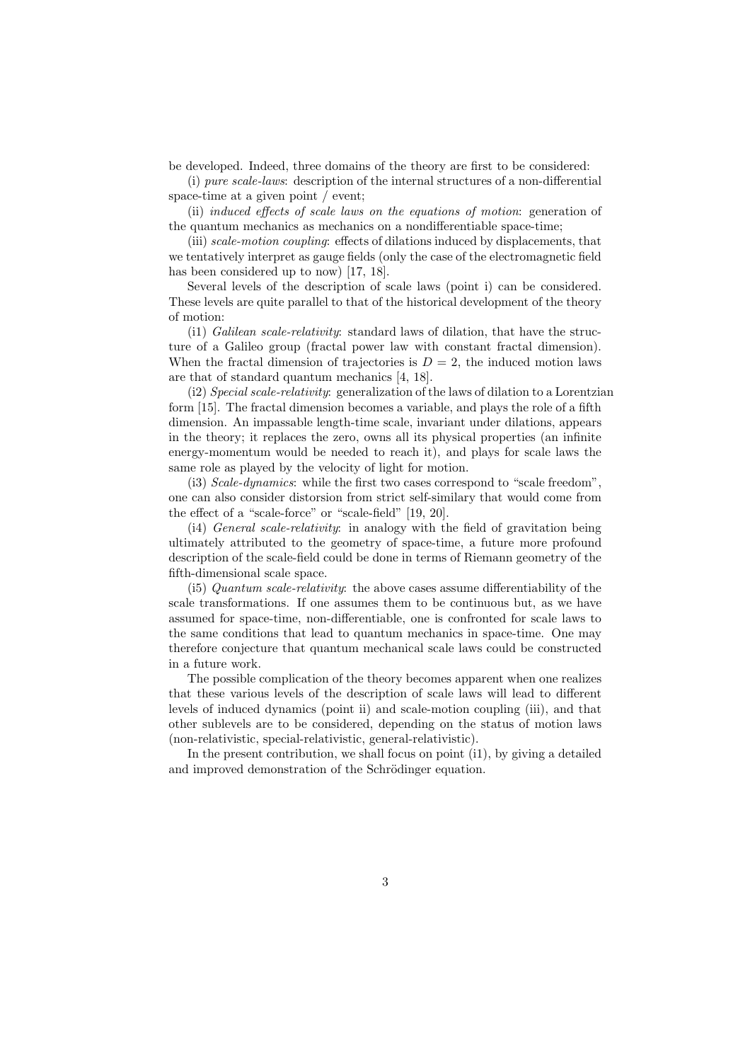be developed. Indeed, three domains of the theory are first to be considered:

(i) pure scale-laws: description of the internal structures of a non-differential space-time at a given point / event;

(ii) induced effects of scale laws on the equations of motion: generation of the quantum mechanics as mechanics on a nondifferentiable space-time;

(iii) scale-motion coupling: effects of dilations induced by displacements, that we tentatively interpret as gauge fields (only the case of the electromagnetic field has been considered up to now) [17, 18].

Several levels of the description of scale laws (point i) can be considered. These levels are quite parallel to that of the historical development of the theory of motion:

(i1) Galilean scale-relativity: standard laws of dilation, that have the structure of a Galileo group (fractal power law with constant fractal dimension). When the fractal dimension of trajectories is  $D = 2$ , the induced motion laws are that of standard quantum mechanics [4, 18].

(i2) Special scale-relativity: generalization of the laws of dilation to a Lorentzian form [15]. The fractal dimension becomes a variable, and plays the role of a fifth dimension. An impassable length-time scale, invariant under dilations, appears in the theory; it replaces the zero, owns all its physical properties (an infinite energy-momentum would be needed to reach it), and plays for scale laws the same role as played by the velocity of light for motion.

(i3) Scale-dynamics: while the first two cases correspond to "scale freedom", one can also consider distorsion from strict self-similary that would come from the effect of a "scale-force" or "scale-field" [19, 20].

(i4) General scale-relativity: in analogy with the field of gravitation being ultimately attributed to the geometry of space-time, a future more profound description of the scale-field could be done in terms of Riemann geometry of the fifth-dimensional scale space.

(i5) Quantum scale-relativity: the above cases assume differentiability of the scale transformations. If one assumes them to be continuous but, as we have assumed for space-time, non-differentiable, one is confronted for scale laws to the same conditions that lead to quantum mechanics in space-time. One may therefore conjecture that quantum mechanical scale laws could be constructed in a future work.

The possible complication of the theory becomes apparent when one realizes that these various levels of the description of scale laws will lead to different levels of induced dynamics (point ii) and scale-motion coupling (iii), and that other sublevels are to be considered, depending on the status of motion laws (non-relativistic, special-relativistic, general-relativistic).

In the present contribution, we shall focus on point (i1), by giving a detailed and improved demonstration of the Schrödinger equation.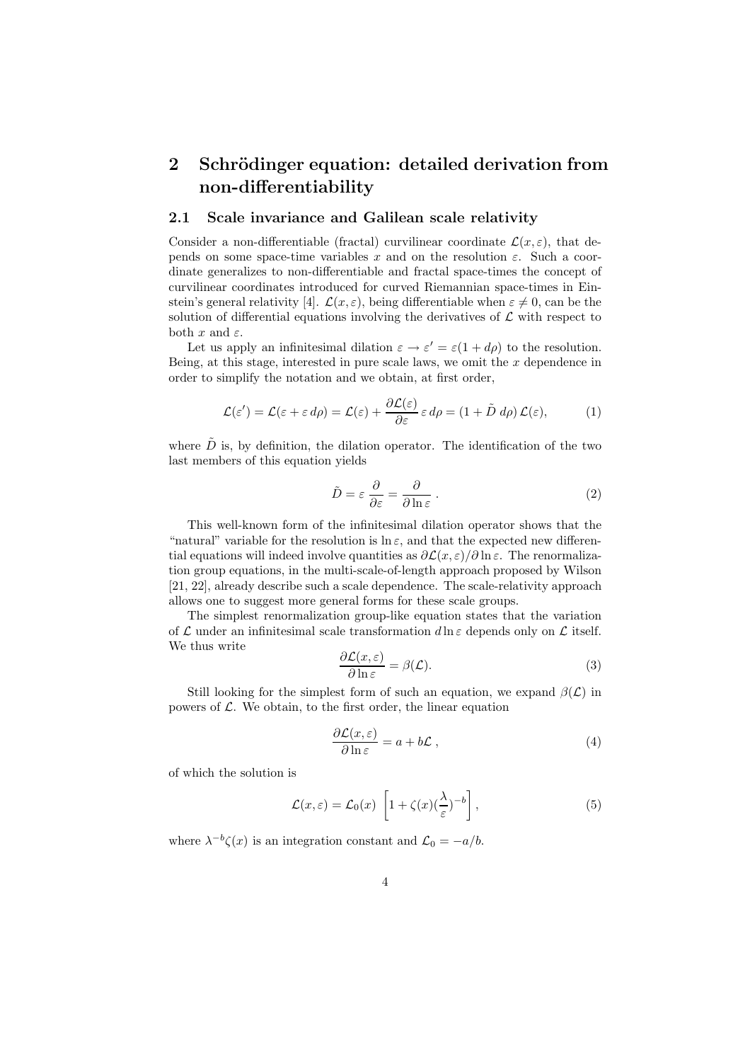# 2 Schrödinger equation: detailed derivation from non-differentiability

## 2.1 Scale invariance and Galilean scale relativity

Consider a non-differentiable (fractal) curvilinear coordinate  $\mathcal{L}(x,\varepsilon)$ , that depends on some space-time variables x and on the resolution  $\varepsilon$ . Such a coordinate generalizes to non-differentiable and fractal space-times the concept of curvilinear coordinates introduced for curved Riemannian space-times in Einstein's general relativity [4].  $\mathcal{L}(x, \varepsilon)$ , being differentiable when  $\varepsilon \neq 0$ , can be the solution of differential equations involving the derivatives of  $\mathcal L$  with respect to both x and  $\varepsilon$ .

Let us apply an infinitesimal dilation  $\varepsilon \to \varepsilon' = \varepsilon (1 + d\rho)$  to the resolution. Being, at this stage, interested in pure scale laws, we omit the  $x$  dependence in order to simplify the notation and we obtain, at first order,

$$
\mathcal{L}(\varepsilon') = \mathcal{L}(\varepsilon + \varepsilon \, d\rho) = \mathcal{L}(\varepsilon) + \frac{\partial \mathcal{L}(\varepsilon)}{\partial \varepsilon} \, \varepsilon \, d\rho = (1 + \tilde{D} \, d\rho) \, \mathcal{L}(\varepsilon),\tag{1}
$$

where  $\tilde{D}$  is, by definition, the dilation operator. The identification of the two last members of this equation yields

$$
\tilde{D} = \varepsilon \frac{\partial}{\partial \varepsilon} = \frac{\partial}{\partial \ln \varepsilon} . \tag{2}
$$

This well-known form of the infinitesimal dilation operator shows that the "natural" variable for the resolution is  $\ln \varepsilon$ , and that the expected new differential equations will indeed involve quantities as  $\partial \mathcal{L}(x, \varepsilon)/\partial \ln \varepsilon$ . The renormalization group equations, in the multi-scale-of-length approach proposed by Wilson [21, 22], already describe such a scale dependence. The scale-relativity approach allows one to suggest more general forms for these scale groups.

The simplest renormalization group-like equation states that the variation of  $\mathcal L$  under an infinitesimal scale transformation  $d\ln \varepsilon$  depends only on  $\mathcal L$  itself. We thus write

$$
\frac{\partial \mathcal{L}(x,\varepsilon)}{\partial \ln \varepsilon} = \beta(\mathcal{L}).\tag{3}
$$

Still looking for the simplest form of such an equation, we expand  $\beta(\mathcal{L})$  in powers of  $\mathcal{L}$ . We obtain, to the first order, the linear equation

$$
\frac{\partial \mathcal{L}(x,\varepsilon)}{\partial \ln \varepsilon} = a + b\mathcal{L} \,, \tag{4}
$$

of which the solution is

$$
\mathcal{L}(x,\varepsilon) = \mathcal{L}_0(x) \left[ 1 + \zeta(x) (\frac{\lambda}{\varepsilon})^{-b} \right],\tag{5}
$$

where  $\lambda^{-b}\zeta(x)$  is an integration constant and  $\mathcal{L}_0 = -a/b$ .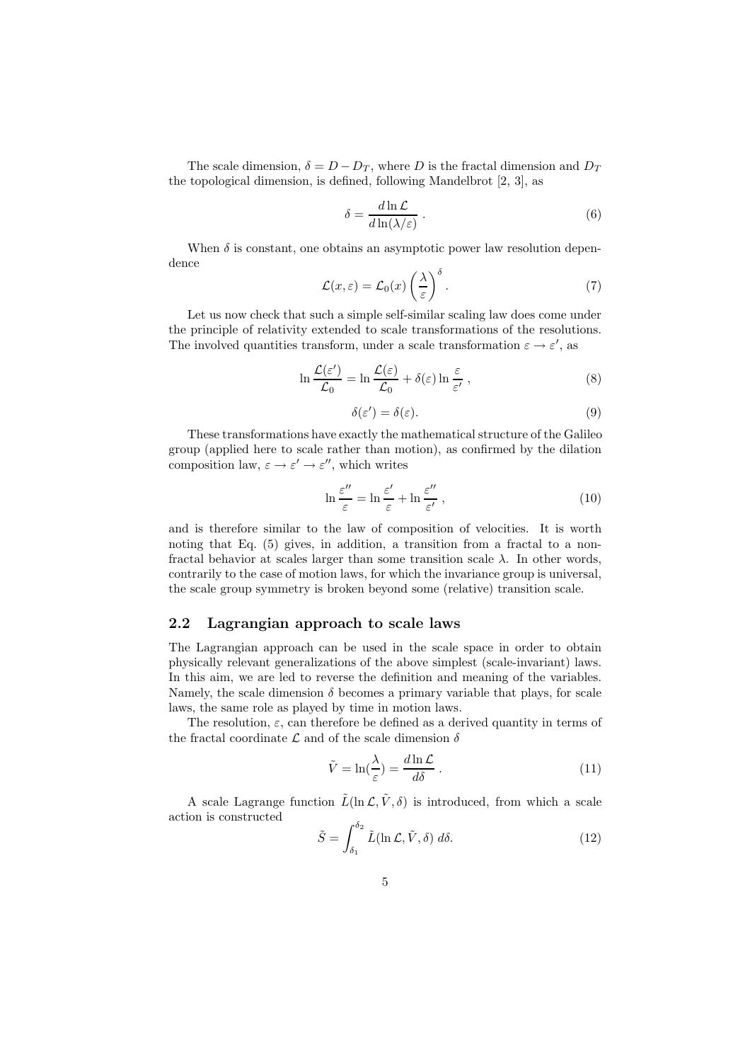The scale dimension,  $\delta = D - D_T$ , where D is the fractal dimension and  $D_T$ the topological dimension, is defined, following Mandelbrot [2, 3], as

$$
\delta = \frac{d \ln \mathcal{L}}{d \ln(\lambda/\varepsilon)} \,. \tag{6}
$$

When  $\delta$  is constant, one obtains an asymptotic power law resolution dependence

$$
\mathcal{L}(x,\varepsilon) = \mathcal{L}_0(x) \left(\frac{\lambda}{\varepsilon}\right)^{\delta}.
$$
 (7)

Let us now check that such a simple self-similar scaling law does come under the principle of relativity extended to scale transformations of the resolutions. The involved quantities transform, under a scale transformation  $\varepsilon \to \varepsilon',$  as

$$
\ln \frac{\mathcal{L}(\varepsilon')}{\mathcal{L}_0} = \ln \frac{\mathcal{L}(\varepsilon)}{\mathcal{L}_0} + \delta(\varepsilon) \ln \frac{\varepsilon}{\varepsilon'}, \qquad (8)
$$

$$
\delta(\varepsilon') = \delta(\varepsilon). \tag{9}
$$

These transformations have exactly the mathematical structure of the Galileo group (applied here to scale rather than motion), as confirmed by the dilation composition law,  $\varepsilon \to \varepsilon' \to \varepsilon''$ , which writes

$$
\ln \frac{\varepsilon''}{\varepsilon} = \ln \frac{\varepsilon'}{\varepsilon} + \ln \frac{\varepsilon''}{\varepsilon'}, \qquad (10)
$$

and is therefore similar to the law of composition of velocities. It is worth noting that Eq.  $(5)$  gives, in addition, a transition from a fractal to a nonfractal behavior at scales larger than some transition scale  $\lambda$ . In other words, contrarily to the case of motion laws, for which the invariance group is universal, the scale group symmetry is broken beyond some (relative) transition scale.

#### 2.2 Lagrangian approach to scale laws

The Lagrangian approach can be used in the scale space in order to obtain physically relevant generalizations of the above simplest (scale-invariant) laws. In this aim, we are led to reverse the definition and meaning of the variables. Namely, the scale dimension  $\delta$  becomes a primary variable that plays, for scale laws, the same role as played by time in motion laws.

The resolution,  $\varepsilon$ , can therefore be defined as a derived quantity in terms of the fractal coordinate  ${\mathcal L}$  and of the scale dimension  $\delta$ 

$$
\tilde{V} = \ln\left(\frac{\lambda}{\varepsilon}\right) = \frac{d \ln \mathcal{L}}{d\delta} \,. \tag{11}
$$

A scale Lagrange function  $\tilde{L}(\ln \mathcal{L}, \tilde{V}, \delta)$  is introduced, from which a scale action is constructed

$$
\tilde{S} = \int_{\delta_1}^{\delta_2} \tilde{L}(\ln \mathcal{L}, \tilde{V}, \delta) \, d\delta. \tag{12}
$$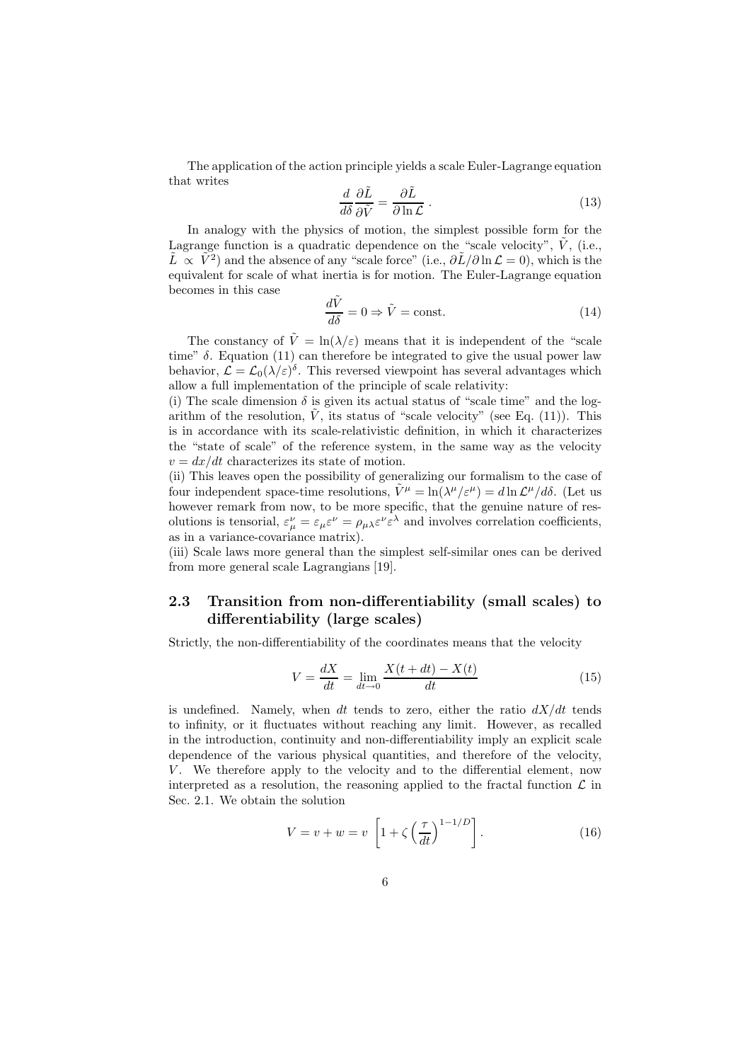The application of the action principle yields a scale Euler-Lagrange equation that writes

$$
\frac{d}{d\delta} \frac{\partial \tilde{L}}{\partial \tilde{V}} = \frac{\partial \tilde{L}}{\partial \ln \mathcal{L}} .
$$
\n(13)

In analogy with the physics of motion, the simplest possible form for the Lagrange function is a quadratic dependence on the "scale velocity",  $\tilde{V}$ , (i.e.,  $\tilde{L} \propto \tilde{V}^2$  and the absence of any "scale force" (i.e.,  $\partial \tilde{L}/\partial \ln \mathcal{L} = 0$ ), which is the equivalent for scale of what inertia is for motion. The Euler-Lagrange equation becomes in this case

$$
\frac{d\tilde{V}}{d\delta} = 0 \Rightarrow \tilde{V} = \text{const.}\tag{14}
$$

The constancy of  $\tilde{V} = \ln(\lambda/\varepsilon)$  means that it is independent of the "scale" time"  $\delta$ . Equation (11) can therefore be integrated to give the usual power law behavior,  $\mathcal{L} = \mathcal{L}_0(\lambda/\varepsilon)^\delta$ . This reversed viewpoint has several advantages which allow a full implementation of the principle of scale relativity:

(i) The scale dimension  $\delta$  is given its actual status of "scale time" and the logarithm of the resolution,  $\tilde{V}$ , its status of "scale velocity" (see Eq. (11)). This is in accordance with its scale-relativistic definition, in which it characterizes the "state of scale" of the reference system, in the same way as the velocity  $v = dx/dt$  characterizes its state of motion.

(ii) This leaves open the possibility of generalizing our formalism to the case of four independent space-time resolutions,  $\tilde{V}^{\mu} = \ln(\lambda^{\mu}/\varepsilon^{\mu}) = d \ln \mathcal{L}^{\mu}/d\delta$ . (Let us however remark from now, to be more specific, that the genuine nature of resolutions is tensorial,  $\varepsilon_{\mu}^{\nu} = \varepsilon_{\mu}\varepsilon^{\nu} = \rho_{\mu\lambda}\varepsilon^{\nu}\varepsilon^{\lambda}$  and involves correlation coefficients, as in a variance-covariance matrix).

(iii) Scale laws more general than the simplest self-similar ones can be derived from more general scale Lagrangians [19].

## 2.3 Transition from non-differentiability (small scales) to differentiability (large scales)

Strictly, the non-differentiability of the coordinates means that the velocity

$$
V = \frac{dX}{dt} = \lim_{dt \to 0} \frac{X(t + dt) - X(t)}{dt}
$$
\n(15)

is undefined. Namely, when dt tends to zero, either the ratio  $dX/dt$  tends to infinity, or it fluctuates without reaching any limit. However, as recalled in the introduction, continuity and non-differentiability imply an explicit scale dependence of the various physical quantities, and therefore of the velocity, V. We therefore apply to the velocity and to the differential element, now interpreted as a resolution, the reasoning applied to the fractal function  $\mathcal L$  in Sec. 2.1. We obtain the solution

$$
V = v + w = v \left[ 1 + \zeta \left( \frac{\tau}{dt} \right)^{1 - 1/D} \right]. \tag{16}
$$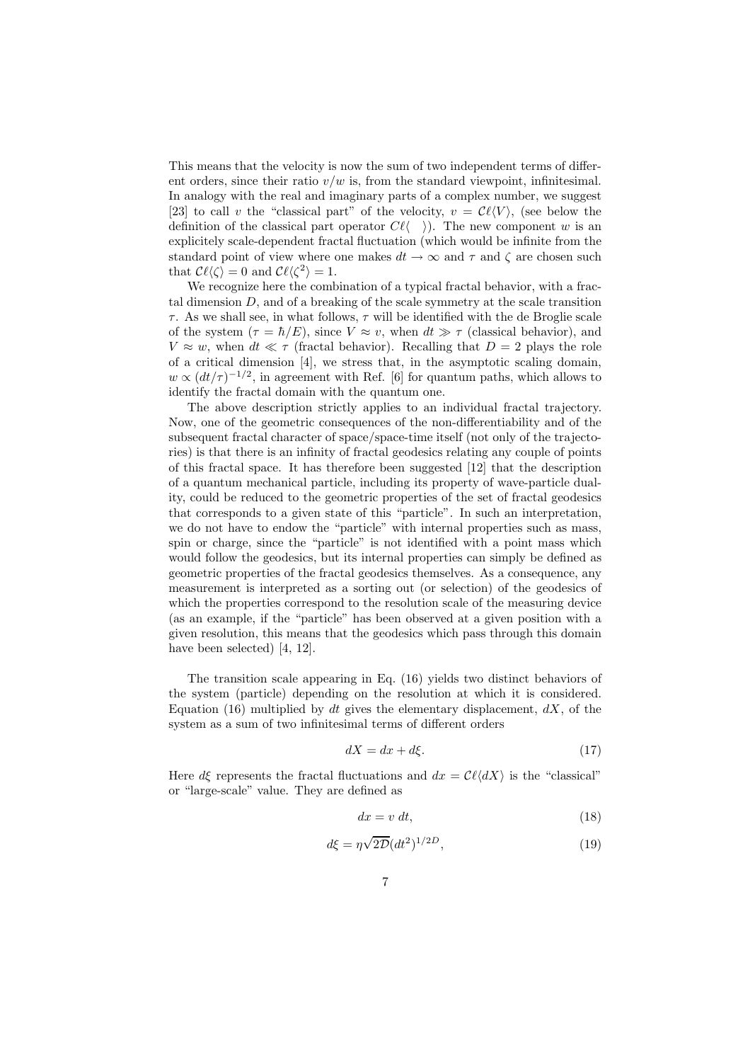This means that the velocity is now the sum of two independent terms of different orders, since their ratio  $v/w$  is, from the standard viewpoint, infinitesimal. In analogy with the real and imaginary parts of a complex number, we suggest [23] to call v the "classical part" of the velocity,  $v = \mathcal{C}\ell\langle V \rangle$ , (see below the definition of the classical part operator  $C\ell\langle \quad \rangle$ ). The new component w is an explicitely scale-dependent fractal fluctuation (which would be infinite from the standard point of view where one makes  $dt \to \infty$  and  $\tau$  and  $\zeta$  are chosen such that  $\mathcal{C}\ell\langle \zeta \rangle = 0$  and  $\mathcal{C}\ell\langle \zeta^2 \rangle = 1$ .

We recognize here the combination of a typical fractal behavior, with a fractal dimension D, and of a breaking of the scale symmetry at the scale transition  $\tau$ . As we shall see, in what follows,  $\tau$  will be identified with the de Broglie scale of the system  $(\tau = \hbar / E)$ , since  $V \approx v$ , when  $dt \gg \tau$  (classical behavior), and  $V \approx w$ , when  $dt \ll \tau$  (fractal behavior). Recalling that  $D = 2$  plays the role of a critical dimension [4], we stress that, in the asymptotic scaling domain,  $w \propto (dt/\tau)^{-1/2}$ , in agreement with Ref. [6] for quantum paths, which allows to identify the fractal domain with the quantum one.

The above description strictly applies to an individual fractal trajectory. Now, one of the geometric consequences of the non-differentiability and of the subsequent fractal character of space/space-time itself (not only of the trajectories) is that there is an infinity of fractal geodesics relating any couple of points of this fractal space. It has therefore been suggested [12] that the description of a quantum mechanical particle, including its property of wave-particle duality, could be reduced to the geometric properties of the set of fractal geodesics that corresponds to a given state of this "particle". In such an interpretation, we do not have to endow the "particle" with internal properties such as mass, spin or charge, since the "particle" is not identified with a point mass which would follow the geodesics, but its internal properties can simply be defined as geometric properties of the fractal geodesics themselves. As a consequence, any measurement is interpreted as a sorting out (or selection) of the geodesics of which the properties correspond to the resolution scale of the measuring device (as an example, if the "particle" has been observed at a given position with a given resolution, this means that the geodesics which pass through this domain have been selected) [4, 12].

The transition scale appearing in Eq. (16) yields two distinct behaviors of the system (particle) depending on the resolution at which it is considered. Equation (16) multiplied by  $dt$  gives the elementary displacement,  $dX$ , of the system as a sum of two infinitesimal terms of different orders

$$
dX = dx + d\xi.
$$
 (17)

Here  $d\xi$  represents the fractal fluctuations and  $dx = \mathcal{C}\ell\langle dX\rangle$  is the "classical" or "large-scale" value. They are defined as

$$
dx = v \, dt,\tag{18}
$$

$$
d\xi = \eta \sqrt{2D} (dt^2)^{1/2D},\qquad(19)
$$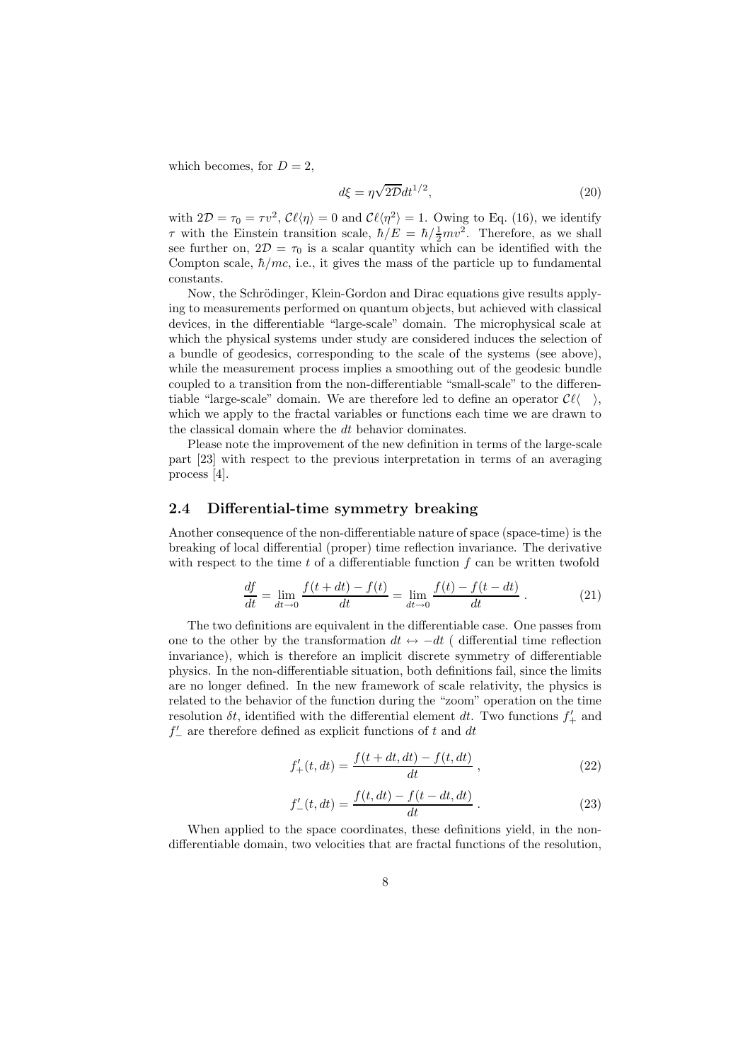which becomes, for  $D = 2$ ,

$$
d\xi = \eta \sqrt{2D} dt^{1/2},\tag{20}
$$

with  $2\mathcal{D} = \tau_0 = \tau v^2$ ,  $\mathcal{C}\ell\langle\eta\rangle = 0$  and  $\mathcal{C}\ell\langle\eta^2\rangle = 1$ . Owing to Eq. (16), we identify  $\tau$  with the Einstein transition scale,  $\hbar/E = \hbar / \frac{1}{2}mv^2$ . Therefore, as we shall see further on,  $2D = \tau_0$  is a scalar quantity which can be identified with the Compton scale,  $\hbar/mc$ , i.e., it gives the mass of the particle up to fundamental constants.

Now, the Schrödinger, Klein-Gordon and Dirac equations give results applying to measurements performed on quantum objects, but achieved with classical devices, in the differentiable "large-scale" domain. The microphysical scale at which the physical systems under study are considered induces the selection of a bundle of geodesics, corresponding to the scale of the systems (see above), while the measurement process implies a smoothing out of the geodesic bundle coupled to a transition from the non-differentiable "small-scale" to the differentiable "large-scale" domain. We are therefore led to define an operator  $\mathcal{C}\ell\langle \rangle$ , which we apply to the fractal variables or functions each time we are drawn to the classical domain where the dt behavior dominates.

Please note the improvement of the new definition in terms of the large-scale part [23] with respect to the previous interpretation in terms of an averaging process [4].

#### 2.4 Differential-time symmetry breaking

Another consequence of the non-differentiable nature of space (space-time) is the breaking of local differential (proper) time reflection invariance. The derivative with respect to the time  $t$  of a differentiable function  $f$  can be written twofold

$$
\frac{df}{dt} = \lim_{dt \to 0} \frac{f(t + dt) - f(t)}{dt} = \lim_{dt \to 0} \frac{f(t) - f(t - dt)}{dt} .
$$
 (21)

The two definitions are equivalent in the differentiable case. One passes from one to the other by the transformation  $dt \leftrightarrow -dt$  ( differential time reflection invariance), which is therefore an implicit discrete symmetry of differentiable physics. In the non-differentiable situation, both definitions fail, since the limits are no longer defined. In the new framework of scale relativity, the physics is related to the behavior of the function during the "zoom" operation on the time resolution  $\delta t$ , identified with the differential element dt. Two functions  $f'_{+}$  and  $f'_{-}$  are therefore defined as explicit functions of t and  $dt$ 

$$
f'_{+}(t,dt) = \frac{f(t+dt,dt) - f(t,dt)}{dt},
$$
\n(22)

$$
f'_{-}(t, dt) = \frac{f(t, dt) - f(t - dt, dt)}{dt}.
$$
\n(23)

When applied to the space coordinates, these definitions yield, in the nondifferentiable domain, two velocities that are fractal functions of the resolution,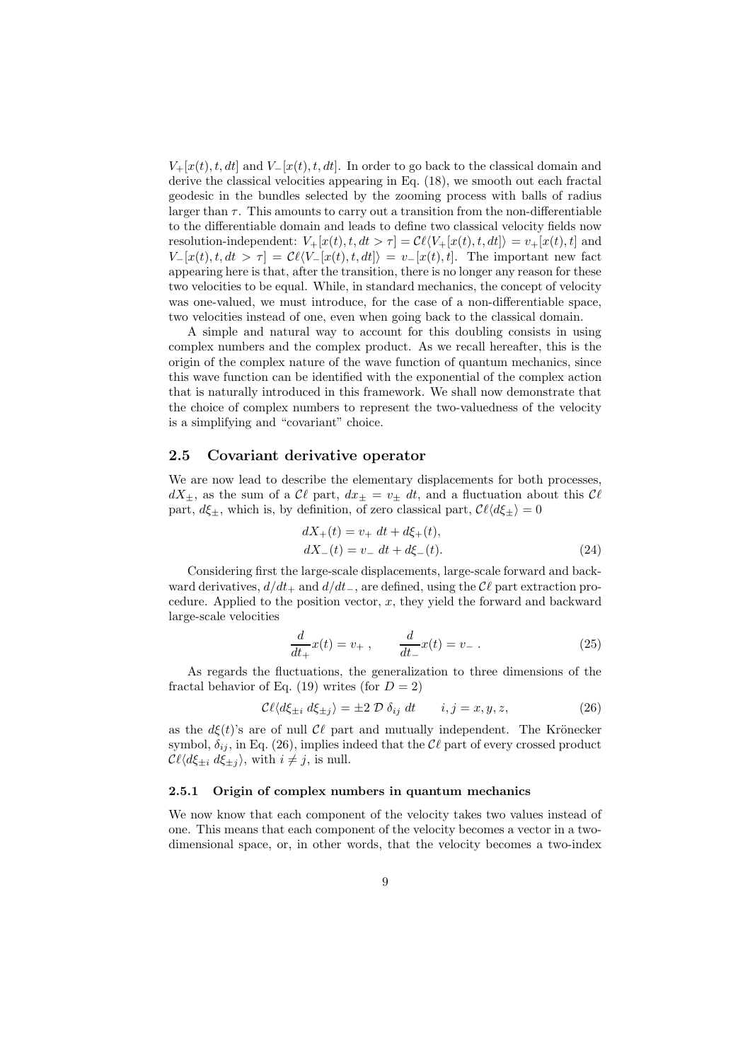$V_{+}[x(t),t,dt]$  and  $V_{-}[x(t),t,dt]$ . In order to go back to the classical domain and derive the classical velocities appearing in Eq. (18), we smooth out each fractal geodesic in the bundles selected by the zooming process with balls of radius larger than  $\tau$ . This amounts to carry out a transition from the non-differentiable to the differentiable domain and leads to define two classical velocity fields now resolution-independent:  $V_+[x(t),t,dt > \tau] = \mathcal{C}\ell\langle V_+[x(t),t,dt]\rangle = v_+[x(t),t]$  and  $V-[x(t),t,dt] > \tau$  =  $\mathcal{C}\ell\langle V-[x(t),t,dt]\rangle = v-[x(t),t]$ . The important new fact appearing here is that, after the transition, there is no longer any reason for these two velocities to be equal. While, in standard mechanics, the concept of velocity was one-valued, we must introduce, for the case of a non-differentiable space, two velocities instead of one, even when going back to the classical domain.

A simple and natural way to account for this doubling consists in using complex numbers and the complex product. As we recall hereafter, this is the origin of the complex nature of the wave function of quantum mechanics, since this wave function can be identified with the exponential of the complex action that is naturally introduced in this framework. We shall now demonstrate that the choice of complex numbers to represent the two-valuedness of the velocity is a simplifying and "covariant" choice.

#### 2.5 Covariant derivative operator

We are now lead to describe the elementary displacements for both processes,  $dX_{\pm}$ , as the sum of a  $\mathcal{C}\ell$  part,  $dx_{\pm} = v_{\pm} dt$ , and a fluctuation about this  $\mathcal{C}\ell$ part,  $d\xi_{\pm}$ , which is, by definition, of zero classical part,  $\mathcal{C}\ell\langle d\xi_{\pm}\rangle = 0$ 

$$
dX_{+}(t) = v_{+} dt + d\xi_{+}(t),
$$
  
\n
$$
dX_{-}(t) = v_{-} dt + d\xi_{-}(t).
$$
\n(24)

Considering first the large-scale displacements, large-scale forward and backward derivatives,  $d/dt_+$  and  $d/dt_-$ , are defined, using the  $\mathcal{C}\ell$  part extraction procedure. Applied to the position vector,  $x$ , they yield the forward and backward large-scale velocities

$$
\frac{d}{dt_+}x(t) = v_+, \qquad \frac{d}{dt_-}x(t) = v_-\,. \tag{25}
$$

As regards the fluctuations, the generalization to three dimensions of the fractal behavior of Eq. (19) writes (for  $D = 2$ )

$$
\mathcal{C}\ell\langle d\xi_{\pm i} d\xi_{\pm j}\rangle = \pm 2 \mathcal{D} \,\delta_{ij} dt \qquad i, j = x, y, z,\tag{26}
$$

as the  $d\xi(t)$ 's are of null  $\mathcal{C}\ell$  part and mutually independent. The Krönecker symbol,  $\delta_{ij}$ , in Eq. (26), implies indeed that the  $\mathcal{C}\ell$  part of every crossed product  $\mathcal{C}\ell\langle d\xi_{\pm i} d\xi_{\pm j} \rangle$ , with  $i \neq j$ , is null.

#### 2.5.1 Origin of complex numbers in quantum mechanics

We now know that each component of the velocity takes two values instead of one. This means that each component of the velocity becomes a vector in a twodimensional space, or, in other words, that the velocity becomes a two-index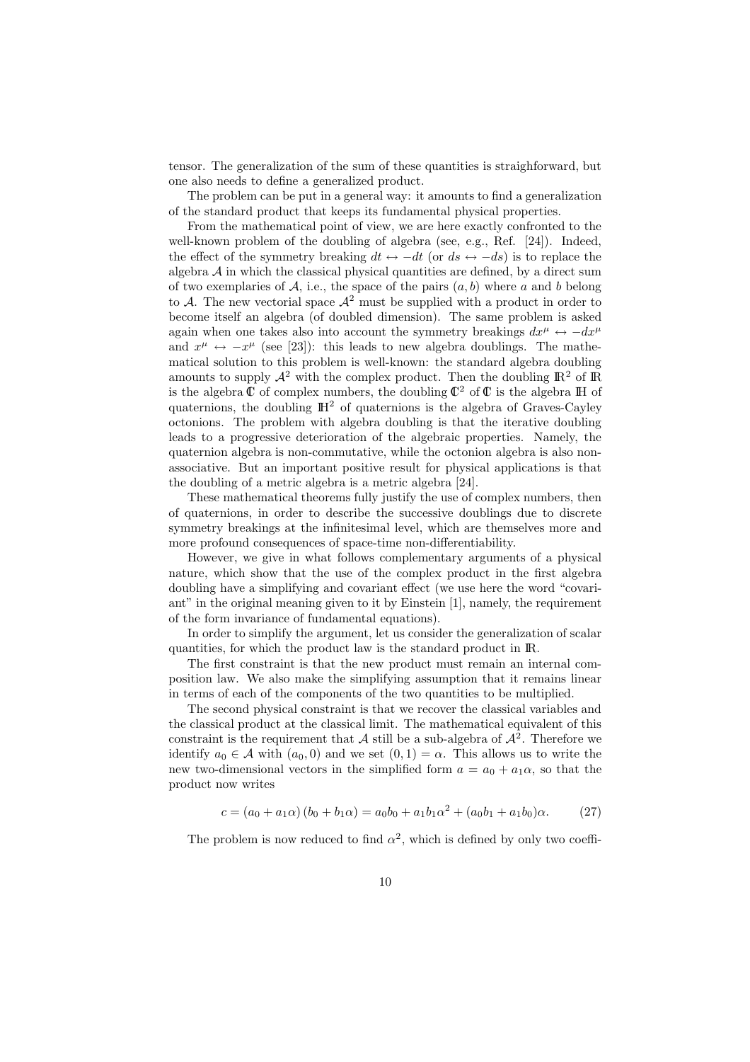tensor. The generalization of the sum of these quantities is straighforward, but one also needs to define a generalized product.

The problem can be put in a general way: it amounts to find a generalization of the standard product that keeps its fundamental physical properties.

From the mathematical point of view, we are here exactly confronted to the well-known problem of the doubling of algebra (see, e.g., Ref. [24]). Indeed, the effect of the symmetry breaking  $dt \leftrightarrow -dt$  (or  $ds \leftrightarrow -ds$ ) is to replace the algebra  $A$  in which the classical physical quantities are defined, by a direct sum of two exemplaries of A, i.e., the space of the pairs  $(a, b)$  where a and b belong to A. The new vectorial space  $\mathcal{A}^2$  must be supplied with a product in order to become itself an algebra (of doubled dimension). The same problem is asked again when one takes also into account the symmetry breakings  $dx^{\mu} \leftrightarrow -dx^{\mu}$ and  $x^{\mu} \leftrightarrow -x^{\mu}$  (see [23]): this leads to new algebra doublings. The mathematical solution to this problem is well-known: the standard algebra doubling amounts to supply  $\mathcal{A}^2$  with the complex product. Then the doubling  $\mathbb{R}^2$  of  $\mathbb{R}$ is the algebra  $\mathbb C$  of complex numbers, the doubling  $\mathbb C^2$  of  $\mathbb C$  is the algebra  $\mathbb H$  of quaternions, the doubling  $\mathbb{H}^2$  of quaternions is the algebra of Graves-Cayley octonions. The problem with algebra doubling is that the iterative doubling leads to a progressive deterioration of the algebraic properties. Namely, the quaternion algebra is non-commutative, while the octonion algebra is also nonassociative. But an important positive result for physical applications is that the doubling of a metric algebra is a metric algebra [24].

These mathematical theorems fully justify the use of complex numbers, then of quaternions, in order to describe the successive doublings due to discrete symmetry breakings at the infinitesimal level, which are themselves more and more profound consequences of space-time non-differentiability.

However, we give in what follows complementary arguments of a physical nature, which show that the use of the complex product in the first algebra doubling have a simplifying and covariant effect (we use here the word "covariant" in the original meaning given to it by Einstein [1], namely, the requirement of the form invariance of fundamental equations).

In order to simplify the argument, let us consider the generalization of scalar quantities, for which the product law is the standard product in IR.

The first constraint is that the new product must remain an internal composition law. We also make the simplifying assumption that it remains linear in terms of each of the components of the two quantities to be multiplied.

The second physical constraint is that we recover the classical variables and the classical product at the classical limit. The mathematical equivalent of this constraint is the requirement that  $\mathcal A$  still be a sub-algebra of  $\mathcal A^2$ . Therefore we identify  $a_0 \in \mathcal{A}$  with  $(a_0, 0)$  and we set  $(0, 1) = \alpha$ . This allows us to write the new two-dimensional vectors in the simplified form  $a = a_0 + a_1 \alpha$ , so that the product now writes

$$
c = (a_0 + a_1\alpha)(b_0 + b_1\alpha) = a_0b_0 + a_1b_1\alpha^2 + (a_0b_1 + a_1b_0)\alpha.
$$
 (27)

The problem is now reduced to find  $\alpha^2$ , which is defined by only two coeffi-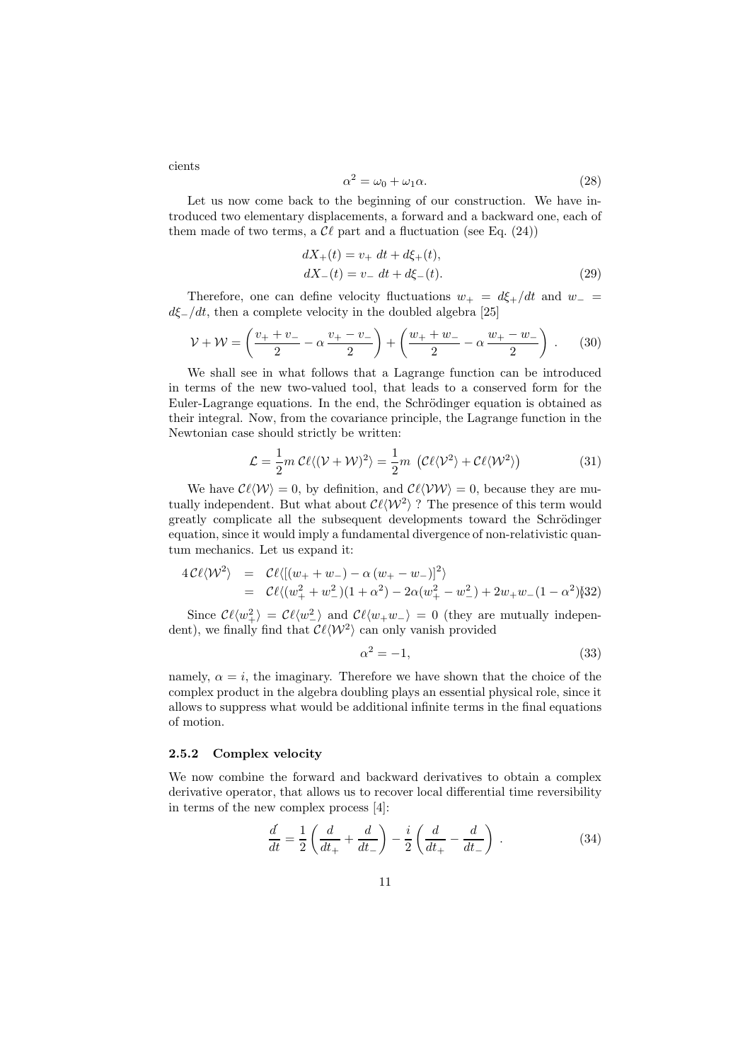cients

$$
\alpha^2 = \omega_0 + \omega_1 \alpha. \tag{28}
$$

Let us now come back to the beginning of our construction. We have introduced two elementary displacements, a forward and a backward one, each of them made of two terms, a  $\mathcal{C}\ell$  part and a fluctuation (see Eq. (24))

$$
dX_{+}(t) = v_{+} dt + d\xi_{+}(t),
$$
  
\n
$$
dX_{-}(t) = v_{-} dt + d\xi_{-}(t).
$$
\n(29)

Therefore, one can define velocity fluctuations  $w_+ = d\xi_+/dt$  and  $w_$  $d\xi_{-}/dt$ , then a complete velocity in the doubled algebra [25]

$$
\mathcal{V} + \mathcal{W} = \left(\frac{v_+ + v_-}{2} - \alpha \frac{v_+ - v_-}{2}\right) + \left(\frac{w_+ + w_-}{2} - \alpha \frac{w_+ - w_-}{2}\right) \,. \tag{30}
$$

We shall see in what follows that a Lagrange function can be introduced in terms of the new two-valued tool, that leads to a conserved form for the Euler-Lagrange equations. In the end, the Schrödinger equation is obtained as their integral. Now, from the covariance principle, the Lagrange function in the Newtonian case should strictly be written:

$$
\mathcal{L} = \frac{1}{2} m \mathcal{C} \ell \langle (\mathcal{V} + \mathcal{W})^2 \rangle = \frac{1}{2} m \left( \mathcal{C} \ell \langle \mathcal{V}^2 \rangle + \mathcal{C} \ell \langle \mathcal{W}^2 \rangle \right)
$$
(31)

We have  $\mathcal{C}\ell\langle\mathcal{W}\rangle = 0$ , by definition, and  $\mathcal{C}\ell\langle\mathcal{V}\mathcal{W}\rangle = 0$ , because they are mutually independent. But what about  $\mathcal{C}\ell\langle\mathcal{W}^2\rangle$ ? The presence of this term would greatly complicate all the subsequent developments toward the Schrödinger equation, since it would imply a fundamental divergence of non-relativistic quantum mechanics. Let us expand it:

$$
4\mathcal{C}\ell\langle\mathcal{W}^2\rangle = \mathcal{C}\ell\langle[(w_+ + w_-) - \alpha(w_+ - w_-)]^2\rangle
$$
  
=  $\mathcal{C}\ell\langle(w_+^2 + w_-^2)(1 + \alpha^2) - 2\alpha(w_+^2 - w_-^2) + 2w_+w_-(1 - \alpha^2)\rangle[32]$ 

Since  $\mathcal{C}\ell\langle w_+^2 \rangle = \mathcal{C}\ell\langle w_-^2 \rangle$  and  $\mathcal{C}\ell\langle w_+w_-\rangle = 0$  (they are mutually independent), we finally find that  $\mathcal{C}\ell\langle\mathcal{W}^2\rangle$  can only vanish provided

$$
\alpha^2 = -1,\tag{33}
$$

namely,  $\alpha = i$ , the imaginary. Therefore we have shown that the choice of the complex product in the algebra doubling plays an essential physical role, since it allows to suppress what would be additional infinite terms in the final equations of motion.

#### 2.5.2 Complex velocity

We now combine the forward and backward derivatives to obtain a complex derivative operator, that allows us to recover local differential time reversibility in terms of the new complex process [4]:

$$
\frac{d}{dt} = \frac{1}{2} \left( \frac{d}{dt_+} + \frac{d}{dt_-} \right) - \frac{i}{2} \left( \frac{d}{dt_+} - \frac{d}{dt_-} \right) . \tag{34}
$$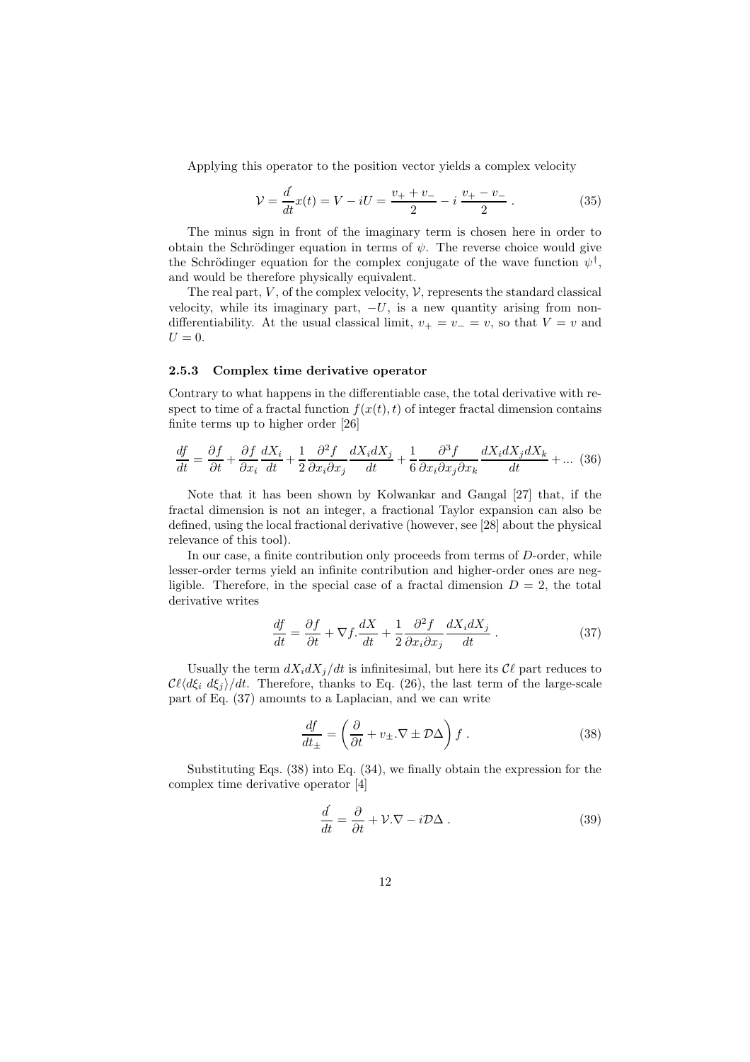Applying this operator to the position vector yields a complex velocity

$$
\mathcal{V} = \frac{d}{dt}x(t) = V - iU = \frac{v_+ + v_-}{2} - i\,\frac{v_+ - v_-}{2} \,. \tag{35}
$$

The minus sign in front of the imaginary term is chosen here in order to obtain the Schrödinger equation in terms of  $\psi$ . The reverse choice would give the Schrödinger equation for the complex conjugate of the wave function  $\psi^{\dagger}$ , and would be therefore physically equivalent.

The real part,  $V$ , of the complex velocity,  $V$ , represents the standard classical velocity, while its imaginary part,  $-U$ , is a new quantity arising from nondifferentiability. At the usual classical limit,  $v_{+} = v_{-} = v$ , so that  $V = v$  and  $U=0.$ 

#### 2.5.3 Complex time derivative operator

Contrary to what happens in the differentiable case, the total derivative with respect to time of a fractal function  $f(x(t),t)$  of integer fractal dimension contains finite terms up to higher order [26]

$$
\frac{df}{dt} = \frac{\partial f}{\partial t} + \frac{\partial f}{\partial x_i} \frac{dX_i}{dt} + \frac{1}{2} \frac{\partial^2 f}{\partial x_i \partial x_j} \frac{dX_i dX_j}{dt} + \frac{1}{6} \frac{\partial^3 f}{\partial x_i \partial x_j \partial x_k} \frac{dX_i dX_j dX_k}{dt} + \dots (36)
$$

Note that it has been shown by Kolwankar and Gangal [27] that, if the fractal dimension is not an integer, a fractional Taylor expansion can also be defined, using the local fractional derivative (however, see [28] about the physical relevance of this tool).

In our case, a finite contribution only proceeds from terms of D-order, while lesser-order terms yield an infinite contribution and higher-order ones are negligible. Therefore, in the special case of a fractal dimension  $D = 2$ , the total derivative writes

$$
\frac{df}{dt} = \frac{\partial f}{\partial t} + \nabla f \cdot \frac{dX}{dt} + \frac{1}{2} \frac{\partial^2 f}{\partial x_i \partial x_j} \frac{dX_i dX_j}{dt} \,. \tag{37}
$$

Usually the term  $dX_i dX_j/dt$  is infinitesimal, but here its  $\mathcal{C}\ell$  part reduces to  $\mathcal{C}\ell\langle d\xi_i d\xi_j \rangle/dt$ . Therefore, thanks to Eq. (26), the last term of the large-scale part of Eq. (37) amounts to a Laplacian, and we can write

$$
\frac{df}{dt_{\pm}} = \left(\frac{\partial}{\partial t} + v_{\pm}.\nabla \pm \mathcal{D}\Delta\right)f.
$$
\n(38)

Substituting Eqs. (38) into Eq. (34), we finally obtain the expression for the complex time derivative operator [4]

$$
\frac{d}{dt} = \frac{\partial}{\partial t} + \mathcal{V}.\nabla - i\mathcal{D}\Delta . \tag{39}
$$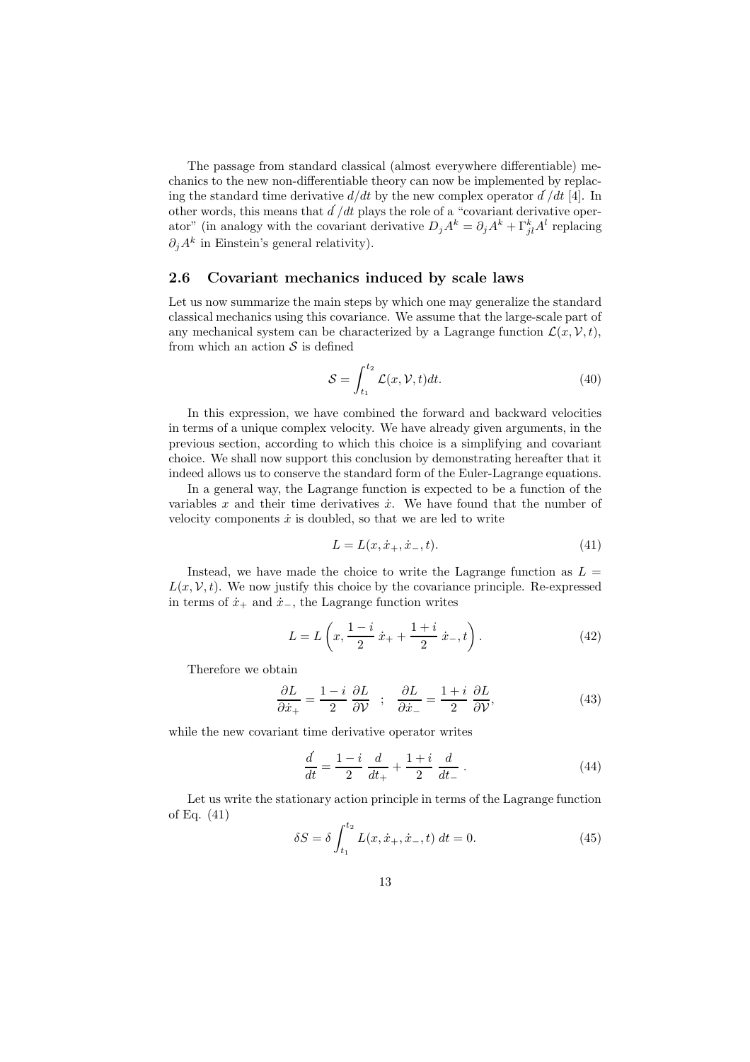The passage from standard classical (almost everywhere differentiable) mechanics to the new non-differentiable theory can now be implemented by replacing the standard time derivative  $d/dt$  by the new complex operator  $d/dt$  [4]. In other words, this means that  $d/dt$  plays the role of a "covariant derivative operator" (in analogy with the covariant derivative  $D_j A^k = \partial_j A^k + \Gamma_{jl}^k A^l$  replacing  $\partial_j A^k$  in Einstein's general relativity).

### 2.6 Covariant mechanics induced by scale laws

Let us now summarize the main steps by which one may generalize the standard classical mechanics using this covariance. We assume that the large-scale part of any mechanical system can be characterized by a Lagrange function  $\mathcal{L}(x, \mathcal{V}, t)$ , from which an action  $S$  is defined

$$
\mathcal{S} = \int_{t_1}^{t_2} \mathcal{L}(x, \mathcal{V}, t) dt.
$$
 (40)

In this expression, we have combined the forward and backward velocities in terms of a unique complex velocity. We have already given arguments, in the previous section, according to which this choice is a simplifying and covariant choice. We shall now support this conclusion by demonstrating hereafter that it indeed allows us to conserve the standard form of the Euler-Lagrange equations.

In a general way, the Lagrange function is expected to be a function of the variables x and their time derivatives  $\dot{x}$ . We have found that the number of velocity components  $\dot{x}$  is doubled, so that we are led to write

$$
L = L(x, \dot{x}_+, \dot{x}_-, t). \tag{41}
$$

Instead, we have made the choice to write the Lagrange function as  $L =$  $L(x, V, t)$ . We now justify this choice by the covariance principle. Re-expressed in terms of  $\dot{x}_+$  and  $\dot{x}_-$ , the Lagrange function writes

$$
L = L\left(x, \frac{1-i}{2}x + \frac{1+i}{2}x, t\right). \tag{42}
$$

Therefore we obtain

$$
\frac{\partial L}{\partial \dot{x}_+} = \frac{1-i}{2} \frac{\partial L}{\partial \mathcal{V}} \quad ; \quad \frac{\partial L}{\partial \dot{x}_-} = \frac{1+i}{2} \frac{\partial L}{\partial \mathcal{V}}, \tag{43}
$$

while the new covariant time derivative operator writes

$$
\frac{d}{dt} = \frac{1-i}{2} \frac{d}{dt_+} + \frac{1+i}{2} \frac{d}{dt_-} \,. \tag{44}
$$

Let us write the stationary action principle in terms of the Lagrange function of Eq. (41)

$$
\delta S = \delta \int_{t_1}^{t_2} L(x, \dot{x}_+, \dot{x}_-, t) dt = 0.
$$
 (45)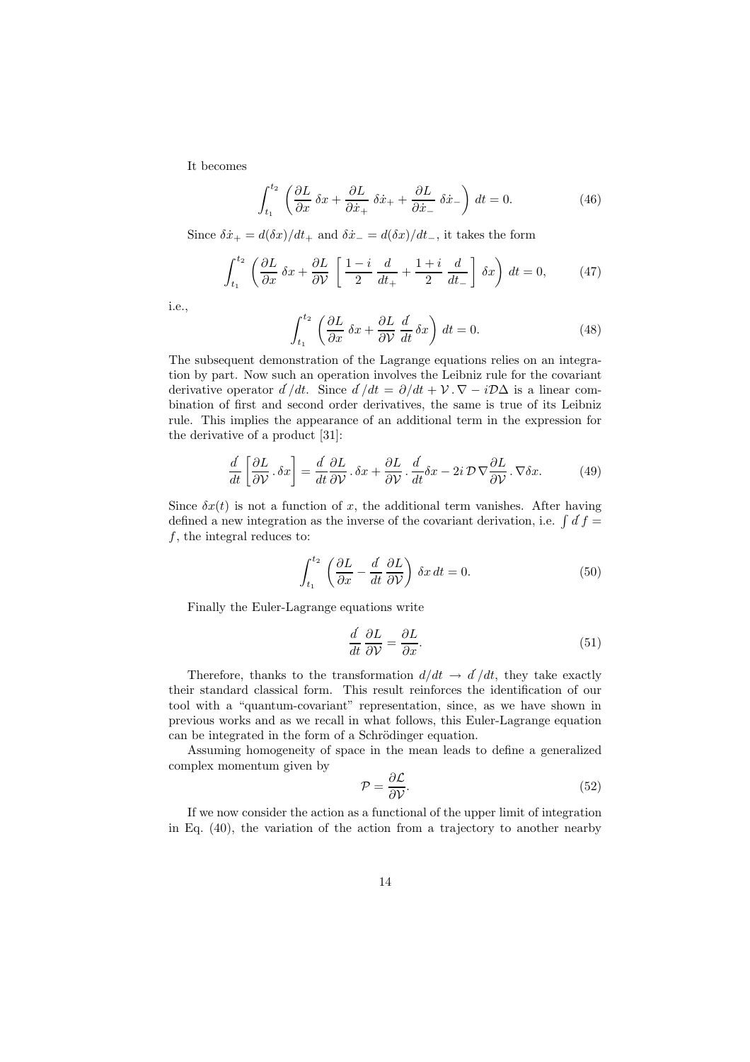It becomes

 $\cdot$ 

$$
\int_{t_1}^{t_2} \left( \frac{\partial L}{\partial x} \, \delta x + \frac{\partial L}{\partial \dot{x}_+} \, \delta \dot{x}_+ + \frac{\partial L}{\partial \dot{x}_-} \, \delta \dot{x}_- \right) \, dt = 0. \tag{46}
$$

Since  $\delta \dot{x}_{+} = d(\delta x)/dt_{+}$  and  $\delta \dot{x}_{-} = d(\delta x)/dt_{-}$ , it takes the form

$$
\int_{t_1}^{t_2} \left( \frac{\partial L}{\partial x} \, \delta x + \frac{\partial L}{\partial \mathcal{V}} \left[ \frac{1-i}{2} \, \frac{d}{dt_+} + \frac{1+i}{2} \, \frac{d}{dt_-} \right] \, \delta x \right) \, dt = 0,\tag{47}
$$

i.e.,

$$
\int_{t_1}^{t_2} \left( \frac{\partial L}{\partial x} \, \delta x + \frac{\partial L}{\partial \mathcal{V}} \, \frac{d}{dt} \, \delta x \right) \, dt = 0. \tag{48}
$$

The subsequent demonstration of the Lagrange equations relies on an integration by part. Now such an operation involves the Leibniz rule for the covariant derivative operator  $d/dt$ . Since  $d/dt = \partial/dt + \mathcal{V} \cdot \nabla - i\mathcal{D}\Delta$  is a linear combination of first and second order derivatives, the same is true of its Leibniz rule. This implies the appearance of an additional term in the expression for the derivative of a product [31]:

$$
\frac{d}{dt}\left[\frac{\partial L}{\partial \mathcal{V}}\cdot \delta x\right] = \frac{d}{dt}\frac{\partial L}{\partial \mathcal{V}}\cdot \delta x + \frac{\partial L}{\partial \mathcal{V}}\cdot \frac{d}{dt}\delta x - 2i\,\mathcal{D}\,\nabla \frac{\partial L}{\partial \mathcal{V}}\cdot \nabla \delta x.
$$
\n(49)

Since  $\delta x(t)$  is not a function of x, the additional term vanishes. After having defined a new integration as the inverse of the covariant derivation, i.e.  $\int df =$  $f$ , the integral reduces to:

$$
\int_{t_1}^{t_2} \left( \frac{\partial L}{\partial x} - \frac{d}{dt} \frac{\partial L}{\partial \mathcal{V}} \right) \delta x \, dt = 0. \tag{50}
$$

Finally the Euler-Lagrange equations write

$$
\frac{d}{dt}\frac{\partial L}{\partial \mathcal{V}} = \frac{\partial L}{\partial x}.\tag{51}
$$

Therefore, thanks to the transformation  $d/dt \rightarrow d/dt$ , they take exactly their standard classical form. This result reinforces the identification of our tool with a "quantum-covariant" representation, since, as we have shown in previous works and as we recall in what follows, this Euler-Lagrange equation can be integrated in the form of a Schrödinger equation.

Assuming homogeneity of space in the mean leads to define a generalized complex momentum given by

$$
\mathcal{P} = \frac{\partial \mathcal{L}}{\partial \mathcal{V}}.\tag{52}
$$

If we now consider the action as a functional of the upper limit of integration in Eq. (40), the variation of the action from a trajectory to another nearby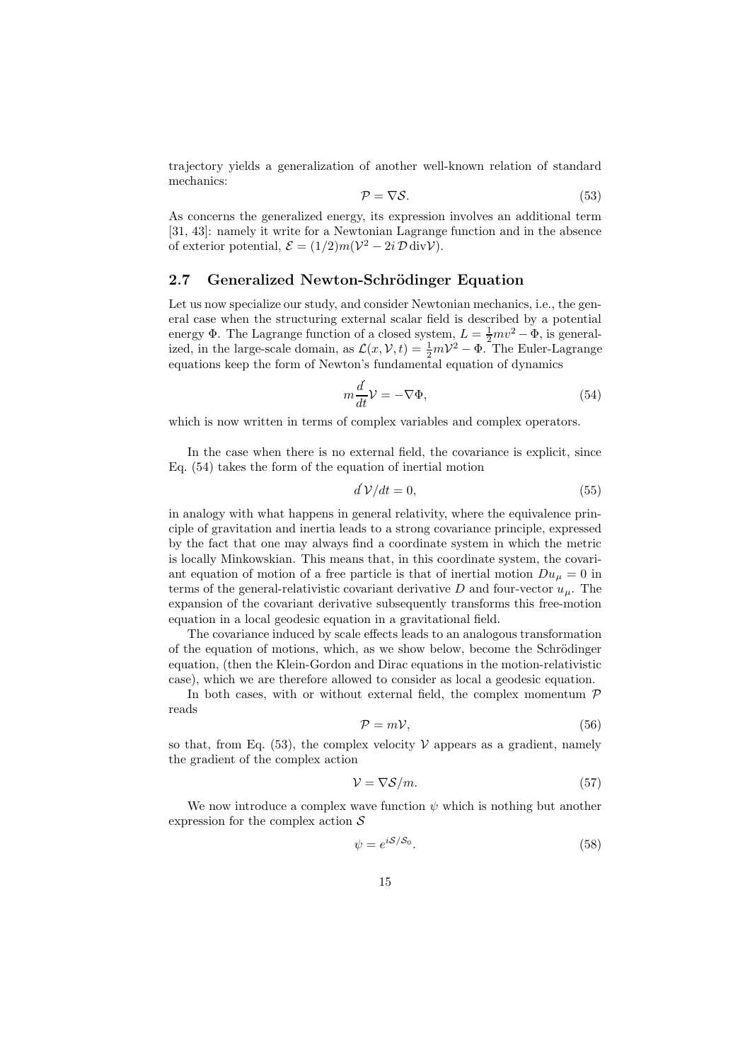trajectory yields a generalization of another well-known relation of standard mechanics:

$$
\mathcal{P} = \nabla \mathcal{S}.\tag{53}
$$

As concerns the generalized energy, its expression involves an additional term [31, 43]: namely it write for a Newtonian Lagrange function and in the absence of exterior potential,  $\mathcal{E} = (1/2)m(\mathcal{V}^2 - 2i \mathcal{D} \text{div}\mathcal{V})$ .

#### 2.7 Generalized Newton-Schrödinger Equation

Let us now specialize our study, and consider Newtonian mechanics, i.e., the general case when the structuring external scalar field is described by a potential energy  $\Phi$ . The Lagrange function of a closed system,  $L = \frac{1}{2}mv^2 - \Phi$ , is generalized, in the large-scale domain, as  $\mathcal{L}(x, V, t) = \frac{1}{2}mV^2 - \Phi$ . The Euler-Lagrange equations keep the form of Newton's fundamental equation of dynamics

$$
m\frac{d}{dt}\mathcal{V} = -\nabla\Phi,\tag{54}
$$

which is now written in terms of complex variables and complex operators.

In the case when there is no external field, the covariance is explicit, since Eq. (54) takes the form of the equation of inertial motion

$$
d\mathcal{V}/dt = 0,\t\t(55)
$$

in analogy with what happens in general relativity, where the equivalence principle of gravitation and inertia leads to a strong covariance principle, expressed by the fact that one may always find a coordinate system in which the metric is locally Minkowskian. This means that, in this coordinate system, the covariant equation of motion of a free particle is that of inertial motion  $Du_{\mu} = 0$  in terms of the general-relativistic covariant derivative D and four-vector  $u_{\mu}$ . The expansion of the covariant derivative subsequently transforms this free-motion equation in a local geodesic equation in a gravitational field.

The covariance induced by scale effects leads to an analogous transformation of the equation of motions, which, as we show below, become the Schrödinger equation, (then the Klein-Gordon and Dirac equations in the motion-relativistic case), which we are therefore allowed to consider as local a geodesic equation.

In both cases, with or without external field, the complex momentum  ${\mathcal P}$ reads

$$
\mathcal{P} = m\mathcal{V},\tag{56}
$$

so that, from Eq.  $(53)$ , the complex velocity  $\mathcal V$  appears as a gradient, namely the gradient of the complex action

$$
\mathcal{V} = \nabla \mathcal{S}/m. \tag{57}
$$

We now introduce a complex wave function  $\psi$  which is nothing but another expression for the complex action  $\mathcal S$ 

$$
\psi = e^{iS/S_0}.\tag{58}
$$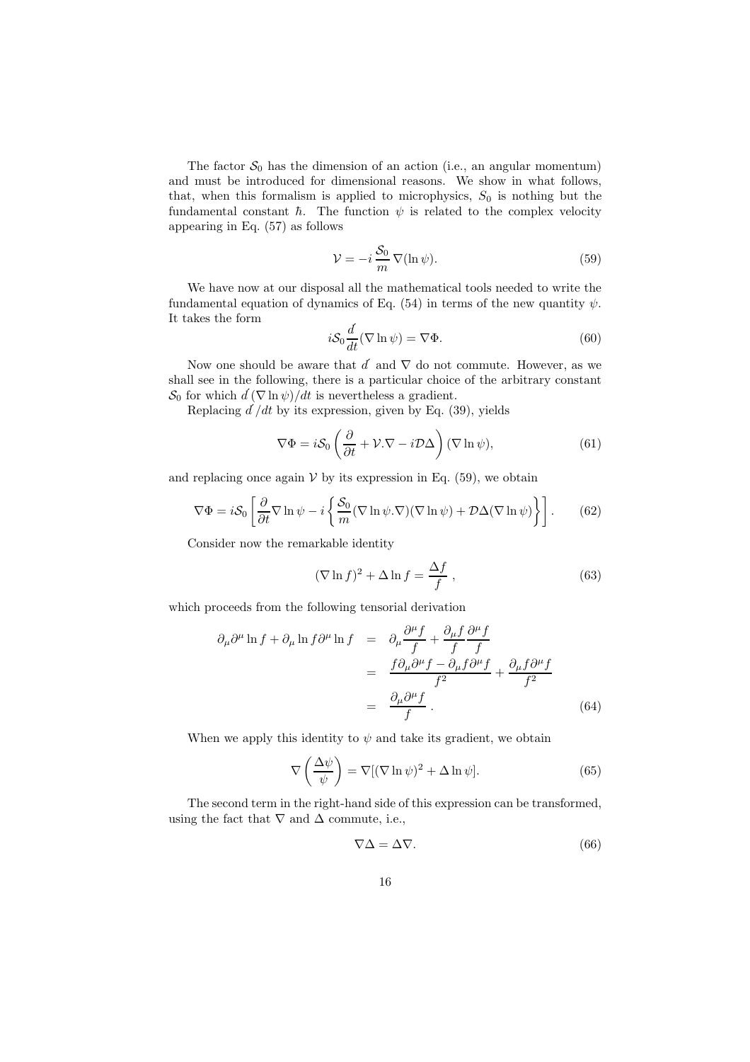The factor  $S_0$  has the dimension of an action (i.e., an angular momentum) and must be introduced for dimensional reasons. We show in what follows, that, when this formalism is applied to microphysics,  $S_0$  is nothing but the fundamental constant  $\hbar$ . The function  $\psi$  is related to the complex velocity appearing in Eq. (57) as follows

$$
\mathcal{V} = -i \frac{\mathcal{S}_0}{m} \nabla(\ln \psi). \tag{59}
$$

We have now at our disposal all the mathematical tools needed to write the fundamental equation of dynamics of Eq. (54) in terms of the new quantity  $\psi$ . It takes the form

$$
i\mathcal{S}_0 \frac{d}{dt} (\nabla \ln \psi) = \nabla \Phi.
$$
 (60)

Now one should be aware that  $d'$  and  $\nabla$  do not commute. However, as we shall see in the following, there is a particular choice of the arbitrary constant  $S_0$  for which  $d(\nabla \ln \psi)/dt$  is nevertheless a gradient.

Replacing  $d/dt$  by its expression, given by Eq. (39), yields

$$
\nabla \Phi = i\mathcal{S}_0 \left( \frac{\partial}{\partial t} + \mathcal{V} \cdot \nabla - i \mathcal{D} \Delta \right) (\nabla \ln \psi), \tag{61}
$$

and replacing once again  $V$  by its expression in Eq. (59), we obtain

$$
\nabla \Phi = i\mathcal{S}_0 \left[ \frac{\partial}{\partial t} \nabla \ln \psi - i \left\{ \frac{\mathcal{S}_0}{m} (\nabla \ln \psi . \nabla) (\nabla \ln \psi) + \mathcal{D} \Delta (\nabla \ln \psi) \right\} \right].
$$
 (62)

Consider now the remarkable identity

$$
(\nabla \ln f)^2 + \Delta \ln f = \frac{\Delta f}{f}, \qquad (63)
$$

which proceeds from the following tensorial derivation

$$
\partial_{\mu}\partial^{\mu}\ln f + \partial_{\mu}\ln f \partial^{\mu}\ln f = \partial_{\mu}\frac{\partial^{\mu}f}{f} + \frac{\partial_{\mu}f}{f}\frac{\partial^{\mu}f}{f} \n= \frac{f\partial_{\mu}\partial^{\mu}f - \partial_{\mu}f\partial^{\mu}f}{f^{2}} + \frac{\partial_{\mu}f\partial^{\mu}f}{f^{2}} \n= \frac{\partial_{\mu}\partial^{\mu}f}{f}.
$$
\n(64)

When we apply this identity to  $\psi$  and take its gradient, we obtain

$$
\nabla \left(\frac{\Delta \psi}{\psi}\right) = \nabla [(\nabla \ln \psi)^2 + \Delta \ln \psi]. \tag{65}
$$

The second term in the right-hand side of this expression can be transformed, using the fact that  $\nabla$  and  $\Delta$  commute, i.e.,

$$
\nabla \Delta = \Delta \nabla. \tag{66}
$$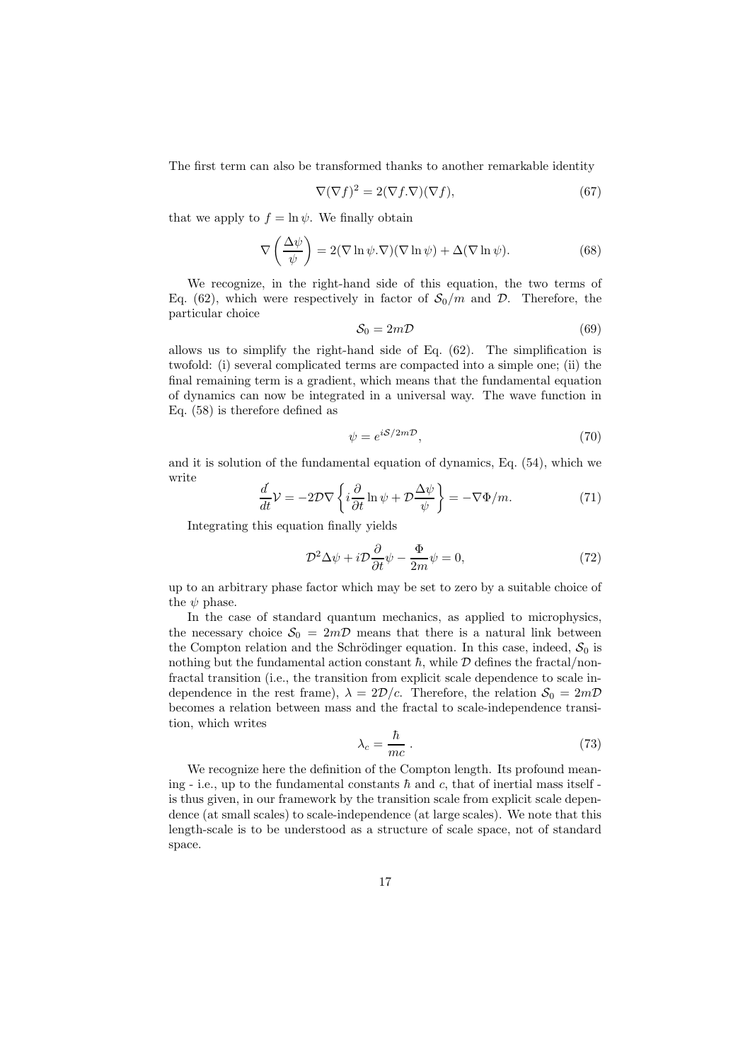The first term can also be transformed thanks to another remarkable identity

$$
\nabla(\nabla f)^2 = 2(\nabla f.\nabla)(\nabla f),\tag{67}
$$

that we apply to  $f = \ln \psi$ . We finally obtain

$$
\nabla \left( \frac{\Delta \psi}{\psi} \right) = 2(\nabla \ln \psi . \nabla)(\nabla \ln \psi) + \Delta (\nabla \ln \psi). \tag{68}
$$

We recognize, in the right-hand side of this equation, the two terms of Eq. (62), which were respectively in factor of  $S_0/m$  and  $\mathcal{D}$ . Therefore, the particular choice

$$
S_0 = 2m\mathcal{D} \tag{69}
$$

allows us to simplify the right-hand side of Eq. (62). The simplification is twofold: (i) several complicated terms are compacted into a simple one; (ii) the final remaining term is a gradient, which means that the fundamental equation of dynamics can now be integrated in a universal way. The wave function in Eq. (58) is therefore defined as

$$
\psi = e^{iS/2m\mathcal{D}},\tag{70}
$$

and it is solution of the fundamental equation of dynamics, Eq. (54), which we write

$$
\frac{d}{dt}\mathcal{V} = -2\mathcal{D}\nabla \left\{ i\frac{\partial}{\partial t} \ln \psi + \mathcal{D}\frac{\Delta \psi}{\psi} \right\} = -\nabla \Phi/m.
$$
\n(71)

Integrating this equation finally yields

$$
\mathcal{D}^2 \Delta \psi + i \mathcal{D} \frac{\partial}{\partial t} \psi - \frac{\Phi}{2m} \psi = 0, \qquad (72)
$$

up to an arbitrary phase factor which may be set to zero by a suitable choice of the  $\psi$  phase.

In the case of standard quantum mechanics, as applied to microphysics, the necessary choice  $S_0 = 2mD$  means that there is a natural link between the Compton relation and the Schrödinger equation. In this case, indeed,  $S_0$  is nothing but the fundamental action constant  $\hbar$ , while  $\mathcal D$  defines the fractal/nonfractal transition (i.e., the transition from explicit scale dependence to scale independence in the rest frame),  $\lambda = 2\mathcal{D}/c$ . Therefore, the relation  $\mathcal{S}_0 = 2m\mathcal{D}$ becomes a relation between mass and the fractal to scale-independence transition, which writes

$$
\lambda_c = \frac{\hbar}{mc} \ . \tag{73}
$$

We recognize here the definition of the Compton length. Its profound meaning - i.e., up to the fundamental constants  $\hbar$  and c, that of inertial mass itself is thus given, in our framework by the transition scale from explicit scale dependence (at small scales) to scale-independence (at large scales). We note that this length-scale is to be understood as a structure of scale space, not of standard space.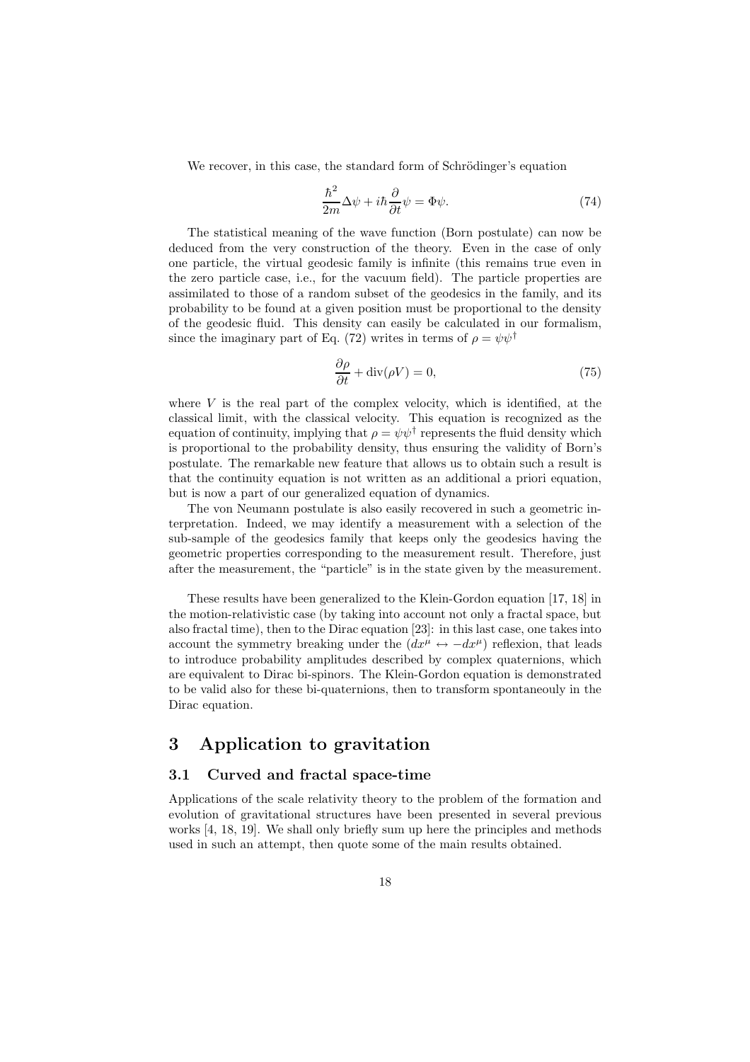We recover, in this case, the standard form of Schrödinger's equation

$$
\frac{\hbar^2}{2m}\Delta\psi + i\hbar\frac{\partial}{\partial t}\psi = \Phi\psi.
$$
 (74)

The statistical meaning of the wave function (Born postulate) can now be deduced from the very construction of the theory. Even in the case of only one particle, the virtual geodesic family is infinite (this remains true even in the zero particle case, i.e., for the vacuum field). The particle properties are assimilated to those of a random subset of the geodesics in the family, and its probability to be found at a given position must be proportional to the density of the geodesic fluid. This density can easily be calculated in our formalism, since the imaginary part of Eq. (72) writes in terms of  $\rho = \psi \psi^{\dagger}$ 

$$
\frac{\partial \rho}{\partial t} + \text{div}(\rho V) = 0,\t\t(75)
$$

where  $V$  is the real part of the complex velocity, which is identified, at the classical limit, with the classical velocity. This equation is recognized as the equation of continuity, implying that  $\rho = \psi \psi^{\dagger}$  represents the fluid density which is proportional to the probability density, thus ensuring the validity of Born's postulate. The remarkable new feature that allows us to obtain such a result is that the continuity equation is not written as an additional a priori equation, but is now a part of our generalized equation of dynamics.

The von Neumann postulate is also easily recovered in such a geometric interpretation. Indeed, we may identify a measurement with a selection of the sub-sample of the geodesics family that keeps only the geodesics having the geometric properties corresponding to the measurement result. Therefore, just after the measurement, the "particle" is in the state given by the measurement.

These results have been generalized to the Klein-Gordon equation [17, 18] in the motion-relativistic case (by taking into account not only a fractal space, but also fractal time), then to the Dirac equation [23]: in this last case, one takes into account the symmetry breaking under the  $(dx^{\mu} \leftrightarrow -dx^{\mu})$  reflexion, that leads to introduce probability amplitudes described by complex quaternions, which are equivalent to Dirac bi-spinors. The Klein-Gordon equation is demonstrated to be valid also for these bi-quaternions, then to transform spontaneouly in the Dirac equation.

## 3 Application to gravitation

### 3.1 Curved and fractal space-time

Applications of the scale relativity theory to the problem of the formation and evolution of gravitational structures have been presented in several previous works [4, 18, 19]. We shall only briefly sum up here the principles and methods used in such an attempt, then quote some of the main results obtained.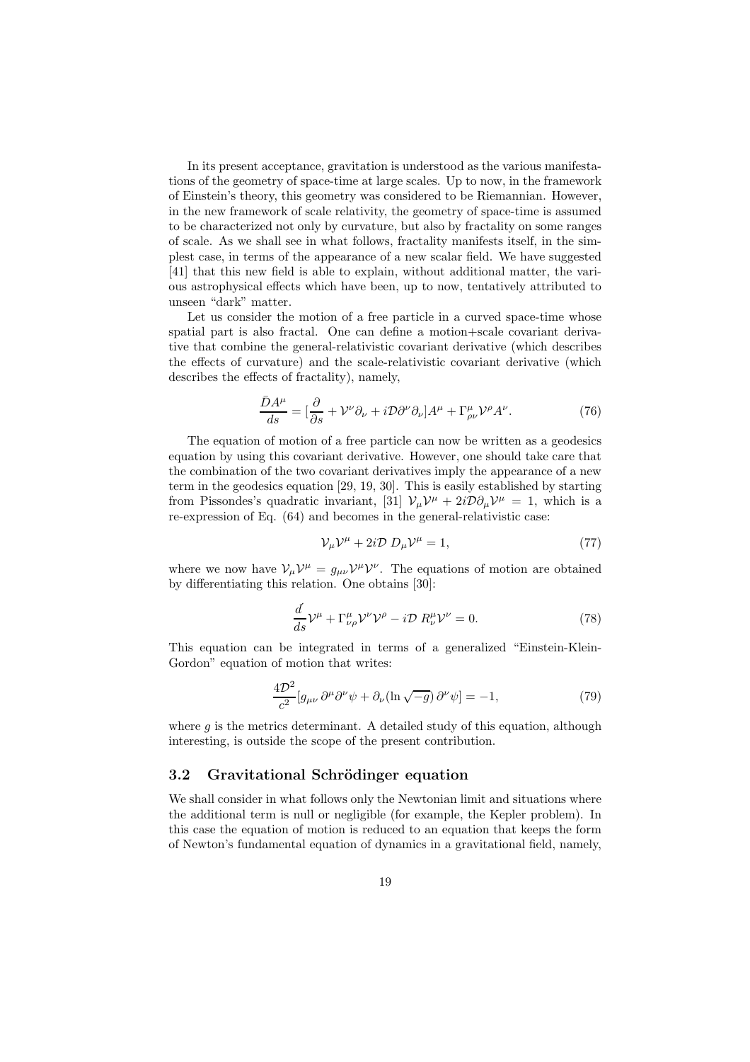In its present acceptance, gravitation is understood as the various manifestations of the geometry of space-time at large scales. Up to now, in the framework of Einstein's theory, this geometry was considered to be Riemannian. However, in the new framework of scale relativity, the geometry of space-time is assumed to be characterized not only by curvature, but also by fractality on some ranges of scale. As we shall see in what follows, fractality manifests itself, in the simplest case, in terms of the appearance of a new scalar field. We have suggested [41] that this new field is able to explain, without additional matter, the various astrophysical effects which have been, up to now, tentatively attributed to unseen "dark" matter.

Let us consider the motion of a free particle in a curved space-time whose spatial part is also fractal. One can define a motion+scale covariant derivative that combine the general-relativistic covariant derivative (which describes the effects of curvature) and the scale-relativistic covariant derivative (which describes the effects of fractality), namely,

$$
\frac{\bar{D}A^{\mu}}{ds} = \left[\frac{\partial}{\partial s} + \mathcal{V}^{\nu}\partial_{\nu} + i\mathcal{D}\partial^{\nu}\partial_{\nu}\right]A^{\mu} + \Gamma^{\mu}_{\rho\nu}\mathcal{V}^{\rho}A^{\nu}.
$$
\n(76)

The equation of motion of a free particle can now be written as a geodesics equation by using this covariant derivative. However, one should take care that the combination of the two covariant derivatives imply the appearance of a new term in the geodesics equation [29, 19, 30]. This is easily established by starting from Pissondes's quadratic invariant, [31]  $\mathcal{V}_{\mu}V^{\mu} + 2i\mathcal{D}\partial_{\mu}V^{\mu} = 1$ , which is a re-expression of Eq. (64) and becomes in the general-relativistic case:

$$
\mathcal{V}_{\mu}\mathcal{V}^{\mu} + 2i\mathcal{D} D_{\mu}\mathcal{V}^{\mu} = 1, \qquad (77)
$$

where we now have  $V_{\mu}V^{\mu} = g_{\mu\nu}V^{\mu}V^{\nu}$ . The equations of motion are obtained by differentiating this relation. One obtains [30]:

$$
\frac{d}{ds}\mathcal{V}^{\mu} + \Gamma^{\mu}_{\nu\rho}\mathcal{V}^{\nu}\mathcal{V}^{\rho} - i\mathcal{D} R^{\mu}_{\nu}\mathcal{V}^{\nu} = 0.
$$
\n(78)

This equation can be integrated in terms of a generalized "Einstein-Klein-Gordon" equation of motion that writes:

$$
\frac{4\mathcal{D}^2}{c^2} [g_{\mu\nu} \, \partial^{\mu} \partial^{\nu} \psi + \partial_{\nu} (\ln \sqrt{-g}) \, \partial^{\nu} \psi] = -1,\tag{79}
$$

where  $q$  is the metrics determinant. A detailed study of this equation, although interesting, is outside the scope of the present contribution.

#### 3.2 Gravitational Schrödinger equation

We shall consider in what follows only the Newtonian limit and situations where the additional term is null or negligible (for example, the Kepler problem). In this case the equation of motion is reduced to an equation that keeps the form of Newton's fundamental equation of dynamics in a gravitational field, namely,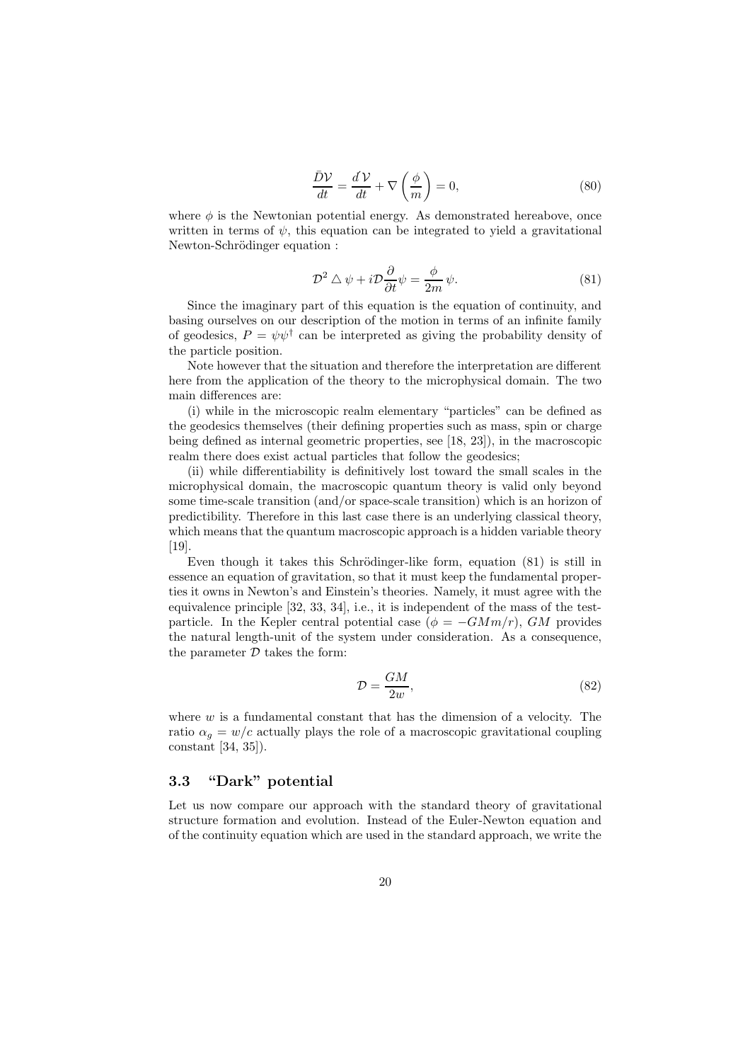$$
\frac{\bar{D}\mathcal{V}}{dt} = \frac{d\mathcal{V}}{dt} + \nabla \left(\frac{\phi}{m}\right) = 0,\tag{80}
$$

where  $\phi$  is the Newtonian potential energy. As demonstrated hereabove, once written in terms of  $\psi$ , this equation can be integrated to yield a gravitational Newton-Schrödinger equation :

$$
\mathcal{D}^2 \triangle \psi + i \mathcal{D} \frac{\partial}{\partial t} \psi = \frac{\phi}{2m} \psi.
$$
 (81)

Since the imaginary part of this equation is the equation of continuity, and basing ourselves on our description of the motion in terms of an infinite family of geodesics,  $P = \psi \psi^{\dagger}$  can be interpreted as giving the probability density of the particle position.

Note however that the situation and therefore the interpretation are different here from the application of the theory to the microphysical domain. The two main differences are:

(i) while in the microscopic realm elementary "particles" can be defined as the geodesics themselves (their defining properties such as mass, spin or charge being defined as internal geometric properties, see [18, 23]), in the macroscopic realm there does exist actual particles that follow the geodesics;

(ii) while differentiability is definitively lost toward the small scales in the microphysical domain, the macroscopic quantum theory is valid only beyond some time-scale transition (and/or space-scale transition) which is an horizon of predictibility. Therefore in this last case there is an underlying classical theory, which means that the quantum macroscopic approach is a hidden variable theory [19].

Even though it takes this Schrödinger-like form, equation  $(81)$  is still in essence an equation of gravitation, so that it must keep the fundamental properties it owns in Newton's and Einstein's theories. Namely, it must agree with the equivalence principle [32, 33, 34], i.e., it is independent of the mass of the testparticle. In the Kepler central potential case ( $\phi = -GMm/r$ ), GM provides the natural length-unit of the system under consideration. As a consequence, the parameter  $D$  takes the form:

$$
\mathcal{D} = \frac{GM}{2w},\tag{82}
$$

where  $w$  is a fundamental constant that has the dimension of a velocity. The ratio  $\alpha_q = w/c$  actually plays the role of a macroscopic gravitational coupling constant [34, 35]).

## 3.3 "Dark" potential

Let us now compare our approach with the standard theory of gravitational structure formation and evolution. Instead of the Euler-Newton equation and of the continuity equation which are used in the standard approach, we write the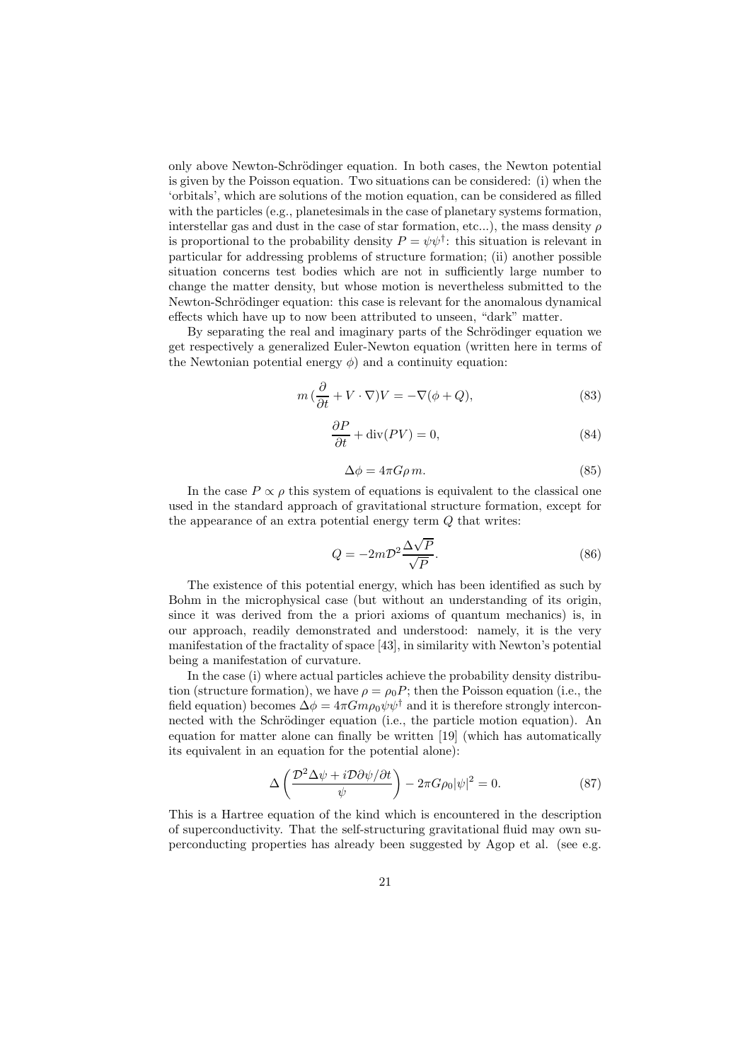only above Newton-Schrödinger equation. In both cases, the Newton potential is given by the Poisson equation. Two situations can be considered: (i) when the 'orbitals', which are solutions of the motion equation, can be considered as filled with the particles (e.g., planetesimals in the case of planetary systems formation, interstellar gas and dust in the case of star formation, etc...), the mass density  $\rho$ is proportional to the probability density  $P = \psi \psi^{\dagger}$ : this situation is relevant in particular for addressing problems of structure formation; (ii) another possible situation concerns test bodies which are not in sufficiently large number to change the matter density, but whose motion is nevertheless submitted to the Newton-Schrödinger equation: this case is relevant for the anomalous dynamical effects which have up to now been attributed to unseen, "dark" matter.

By separating the real and imaginary parts of the Schrödinger equation we get respectively a generalized Euler-Newton equation (written here in terms of the Newtonian potential energy  $\phi$ ) and a continuity equation:

$$
m\left(\frac{\partial}{\partial t} + V \cdot \nabla\right) V = -\nabla(\phi + Q),\tag{83}
$$

$$
\frac{\partial P}{\partial t} + \text{div}(PV) = 0,\tag{84}
$$

$$
\Delta \phi = 4\pi G \rho \, m. \tag{85}
$$

In the case  $P \propto \rho$  this system of equations is equivalent to the classical one used in the standard approach of gravitational structure formation, except for the appearance of an extra potential energy term Q that writes:

$$
Q = -2m\mathcal{D}^2 \frac{\Delta\sqrt{P}}{\sqrt{P}}.\tag{86}
$$

The existence of this potential energy, which has been identified as such by Bohm in the microphysical case (but without an understanding of its origin, since it was derived from the a priori axioms of quantum mechanics) is, in our approach, readily demonstrated and understood: namely, it is the very manifestation of the fractality of space [43], in similarity with Newton's potential being a manifestation of curvature.

In the case (i) where actual particles achieve the probability density distribution (structure formation), we have  $\rho = \rho_0 P$ ; then the Poisson equation (i.e., the field equation) becomes  $\Delta \phi = 4\pi G m \rho_0 \psi \psi^{\dagger}$  and it is therefore strongly interconnected with the Schrödinger equation (i.e., the particle motion equation). An equation for matter alone can finally be written [19] (which has automatically its equivalent in an equation for the potential alone):

$$
\Delta \left( \frac{\mathcal{D}^2 \Delta \psi + i \mathcal{D} \partial \psi / \partial t}{\psi} \right) - 2\pi G \rho_0 |\psi|^2 = 0. \tag{87}
$$

This is a Hartree equation of the kind which is encountered in the description of superconductivity. That the self-structuring gravitational fluid may own superconducting properties has already been suggested by Agop et al. (see e.g.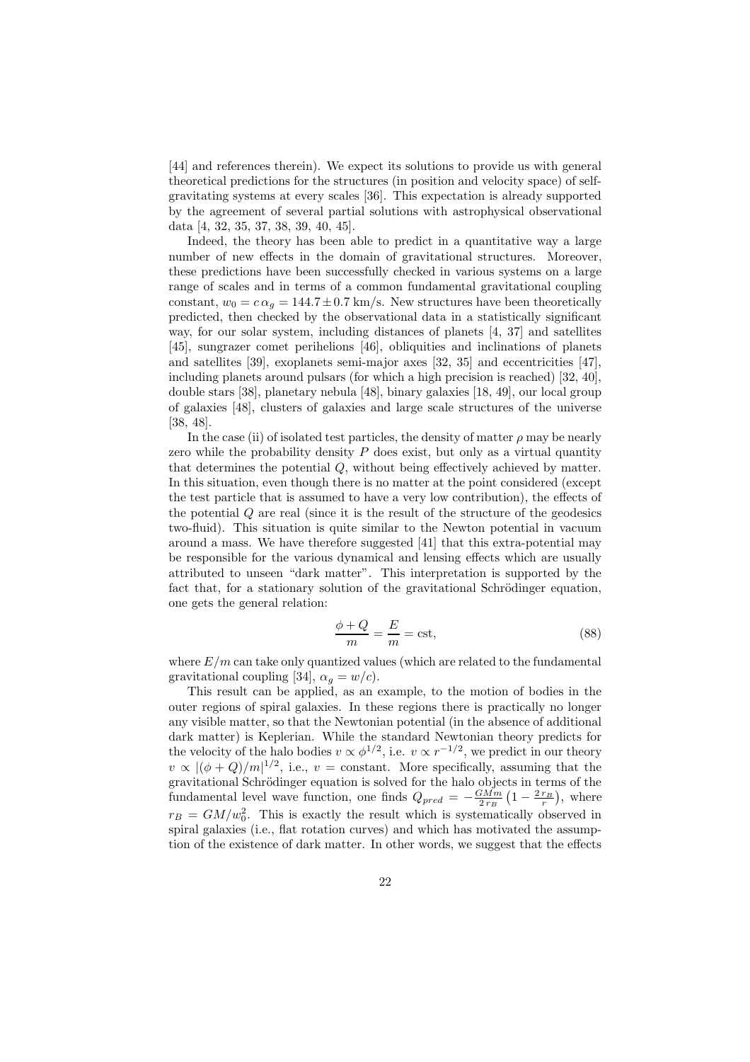[44] and references therein). We expect its solutions to provide us with general theoretical predictions for the structures (in position and velocity space) of selfgravitating systems at every scales [36]. This expectation is already supported by the agreement of several partial solutions with astrophysical observational data [4, 32, 35, 37, 38, 39, 40, 45].

Indeed, the theory has been able to predict in a quantitative way a large number of new effects in the domain of gravitational structures. Moreover, these predictions have been successfully checked in various systems on a large range of scales and in terms of a common fundamental gravitational coupling constant,  $w_0 = c \alpha_q = 144.7 \pm 0.7$  km/s. New structures have been theoretically predicted, then checked by the observational data in a statistically significant way, for our solar system, including distances of planets [4, 37] and satellites [45], sungrazer comet perihelions [46], obliquities and inclinations of planets and satellites [39], exoplanets semi-major axes [32, 35] and eccentricities [47], including planets around pulsars (for which a high precision is reached) [32, 40], double stars [38], planetary nebula [48], binary galaxies [18, 49], our local group of galaxies [48], clusters of galaxies and large scale structures of the universe [38, 48].

In the case (ii) of isolated test particles, the density of matter  $\rho$  may be nearly zero while the probability density  $P$  does exist, but only as a virtual quantity that determines the potential Q, without being effectively achieved by matter. In this situation, even though there is no matter at the point considered (except the test particle that is assumed to have a very low contribution), the effects of the potential Q are real (since it is the result of the structure of the geodesics two-fluid). This situation is quite similar to the Newton potential in vacuum around a mass. We have therefore suggested [41] that this extra-potential may be responsible for the various dynamical and lensing effects which are usually attributed to unseen "dark matter". This interpretation is supported by the fact that, for a stationary solution of the gravitational Schrödinger equation. one gets the general relation:

$$
\frac{\phi + Q}{m} = \frac{E}{m} = \text{cst},\tag{88}
$$

where  $E/m$  can take only quantized values (which are related to the fundamental gravitational coupling [34],  $\alpha_g = w/c$ ).

This result can be applied, as an example, to the motion of bodies in the outer regions of spiral galaxies. In these regions there is practically no longer any visible matter, so that the Newtonian potential (in the absence of additional dark matter) is Keplerian. While the standard Newtonian theory predicts for the velocity of the halo bodies  $v \propto \phi^{1/2}$ , i.e.  $v \propto r^{-1/2}$ , we predict in our theory  $v \propto |(\phi+Q)/m|^{1/2}$ , i.e.,  $v =$  constant. More specifically, assuming that the gravitational Schrödinger equation is solved for the halo objects in terms of the fundamental level wave function, one finds  $Q_{pred} = -\frac{GMm}{2 r_B} \left(1 - \frac{2 r_B}{r}\right)$ , where  $r_B = GM/w_0^2$ . This is exactly the result which is systematically observed in spiral galaxies (i.e., flat rotation curves) and which has motivated the assumption of the existence of dark matter. In other words, we suggest that the effects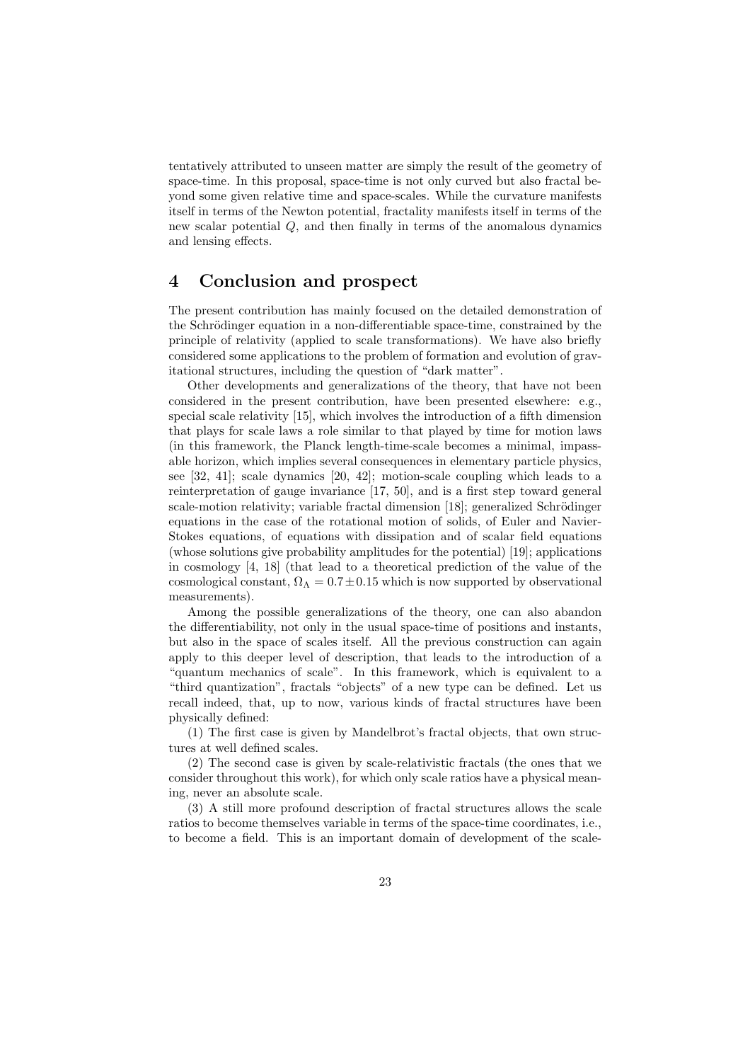tentatively attributed to unseen matter are simply the result of the geometry of space-time. In this proposal, space-time is not only curved but also fractal beyond some given relative time and space-scales. While the curvature manifests itself in terms of the Newton potential, fractality manifests itself in terms of the new scalar potential Q, and then finally in terms of the anomalous dynamics and lensing effects.

## 4 Conclusion and prospect

The present contribution has mainly focused on the detailed demonstration of the Schrödinger equation in a non-differentiable space-time, constrained by the principle of relativity (applied to scale transformations). We have also briefly considered some applications to the problem of formation and evolution of gravitational structures, including the question of "dark matter".

Other developments and generalizations of the theory, that have not been considered in the present contribution, have been presented elsewhere: e.g., special scale relativity [15], which involves the introduction of a fifth dimension that plays for scale laws a role similar to that played by time for motion laws (in this framework, the Planck length-time-scale becomes a minimal, impassable horizon, which implies several consequences in elementary particle physics, see [32, 41]; scale dynamics [20, 42]; motion-scale coupling which leads to a reinterpretation of gauge invariance [17, 50], and is a first step toward general scale-motion relativity; variable fractal dimension [18]; generalized Schrödinger equations in the case of the rotational motion of solids, of Euler and Navier-Stokes equations, of equations with dissipation and of scalar field equations (whose solutions give probability amplitudes for the potential) [19]; applications in cosmology [4, 18] (that lead to a theoretical prediction of the value of the cosmological constant,  $\Omega_{\Lambda}=0.7\pm0.15$  which is now supported by observational measurements).

Among the possible generalizations of the theory, one can also abandon the differentiability, not only in the usual space-time of positions and instants, but also in the space of scales itself. All the previous construction can again apply to this deeper level of description, that leads to the introduction of a "quantum mechanics of scale". In this framework, which is equivalent to a "third quantization", fractals "objects" of a new type can be defined. Let us recall indeed, that, up to now, various kinds of fractal structures have been physically defined:

(1) The first case is given by Mandelbrot's fractal objects, that own structures at well defined scales.

(2) The second case is given by scale-relativistic fractals (the ones that we consider throughout this work), for which only scale ratios have a physical meaning, never an absolute scale.

(3) A still more profound description of fractal structures allows the scale ratios to become themselves variable in terms of the space-time coordinates, i.e., to become a field. This is an important domain of development of the scale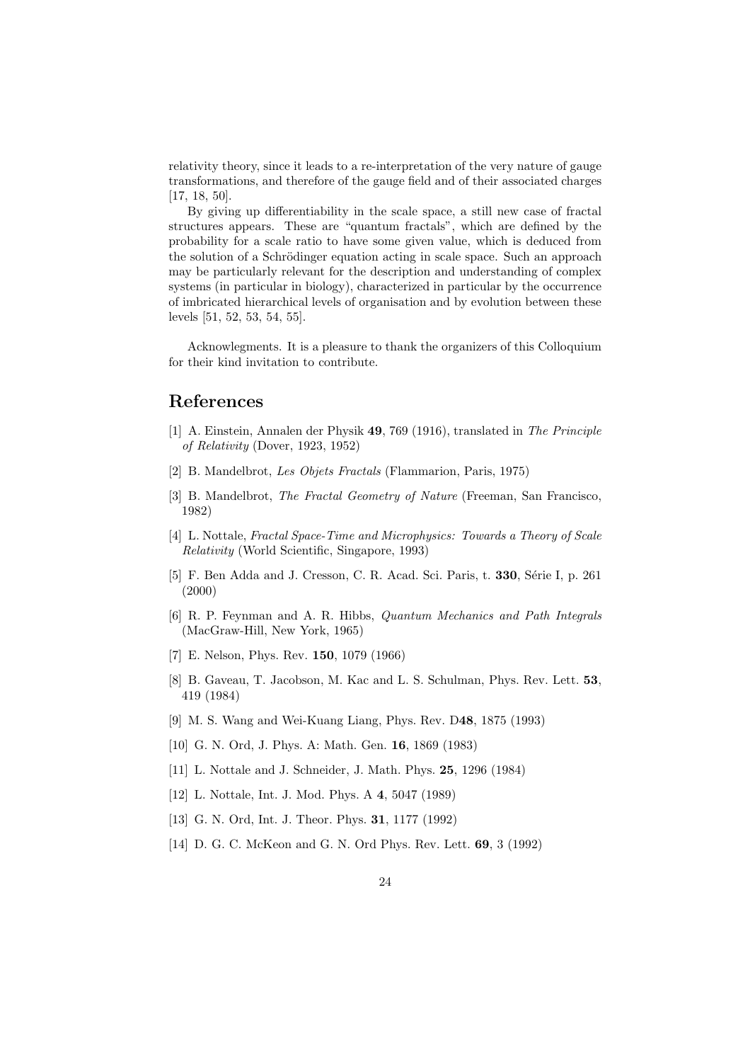relativity theory, since it leads to a re-interpretation of the very nature of gauge transformations, and therefore of the gauge field and of their associated charges [17, 18, 50].

By giving up differentiability in the scale space, a still new case of fractal structures appears. These are "quantum fractals", which are defined by the probability for a scale ratio to have some given value, which is deduced from the solution of a Schrödinger equation acting in scale space. Such an approach may be particularly relevant for the description and understanding of complex systems (in particular in biology), characterized in particular by the occurrence of imbricated hierarchical levels of organisation and by evolution between these levels [51, 52, 53, 54, 55].

Acknowlegments. It is a pleasure to thank the organizers of this Colloquium for their kind invitation to contribute.

## References

- [1] A. Einstein, Annalen der Physik 49, 769 (1916), translated in The Principle of Relativity (Dover, 1923, 1952)
- [2] B. Mandelbrot, Les Objets Fractals (Flammarion, Paris, 1975)
- [3] B. Mandelbrot, The Fractal Geometry of Nature (Freeman, San Francisco, 1982)
- [4] L. Nottale, Fractal Space-Time and Microphysics: Towards a Theory of Scale Relativity (World Scientific, Singapore, 1993)
- [5] F. Ben Adda and J. Cresson, C. R. Acad. Sci. Paris, t. 330, Série I, p. 261 (2000)
- [6] R. P. Feynman and A. R. Hibbs, Quantum Mechanics and Path Integrals (MacGraw-Hill, New York, 1965)
- [7] E. Nelson, Phys. Rev. 150, 1079 (1966)
- [8] B. Gaveau, T. Jacobson, M. Kac and L. S. Schulman, Phys. Rev. Lett. 53, 419 (1984)
- [9] M. S. Wang and Wei-Kuang Liang, Phys. Rev. D48, 1875 (1993)
- [10] G. N. Ord, J. Phys. A: Math. Gen. 16, 1869 (1983)
- [11] L. Nottale and J. Schneider, J. Math. Phys. 25, 1296 (1984)
- [12] L. Nottale, Int. J. Mod. Phys. A 4, 5047 (1989)
- [13] G. N. Ord, Int. J. Theor. Phys. **31**, 1177 (1992)
- [14] D. G. C. McKeon and G. N. Ord Phys. Rev. Lett. 69, 3 (1992)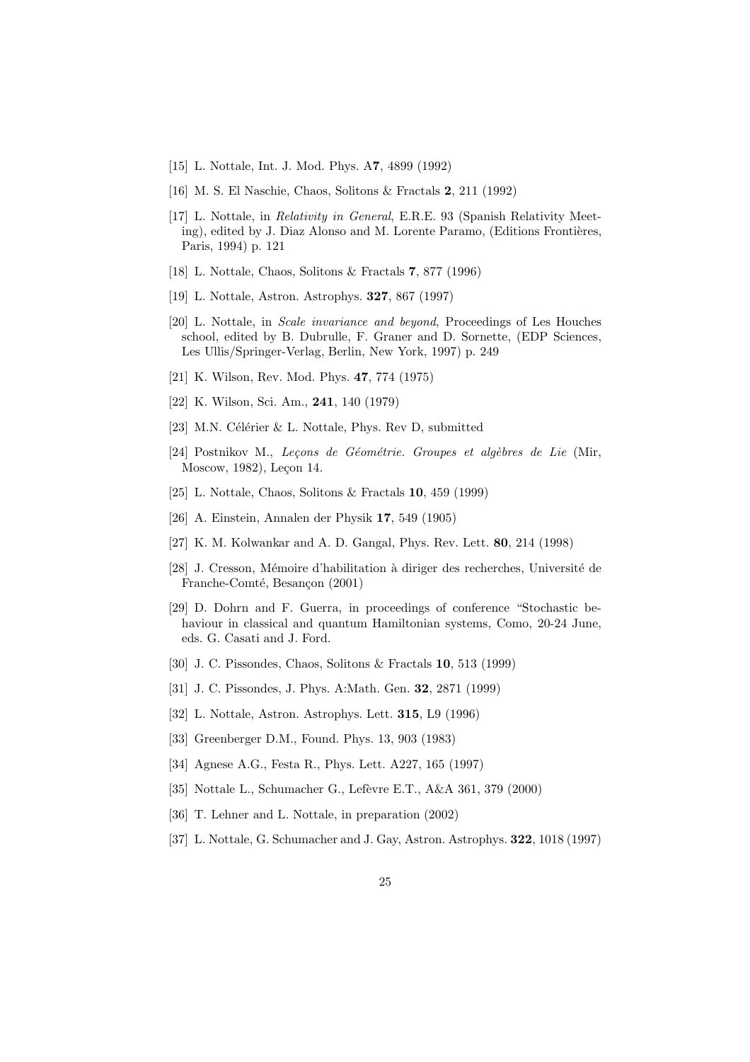- [15] L. Nottale, Int. J. Mod. Phys. A7, 4899 (1992)
- [16] M. S. El Naschie, Chaos, Solitons & Fractals 2, 211 (1992)
- [17] L. Nottale, in Relativity in General, E.R.E. 93 (Spanish Relativity Meeting), edited by J. Diaz Alonso and M. Lorente Paramo, (Editions Frontières, Paris, 1994) p. 121
- [18] L. Nottale, Chaos, Solitons & Fractals 7, 877 (1996)
- [19] L. Nottale, Astron. Astrophys. 327, 867 (1997)
- [20] L. Nottale, in Scale invariance and beyond, Proceedings of Les Houches school, edited by B. Dubrulle, F. Graner and D. Sornette, (EDP Sciences, Les Ullis/Springer-Verlag, Berlin, New York, 1997) p. 249
- [21] K. Wilson, Rev. Mod. Phys. 47, 774 (1975)
- [22] K. Wilson, Sci. Am., 241, 140 (1979)
- [23] M.N. Célérier  $& L.$  Nottale, Phys. Rev D, submitted
- [24] Postnikov M., Lecons de Géométrie. Groupes et algèbres de Lie (Mir, Moscow, 1982), Leçon 14.
- [25] L. Nottale, Chaos, Solitons & Fractals 10, 459 (1999)
- [26] A. Einstein, Annalen der Physik 17, 549 (1905)
- [27] K. M. Kolwankar and A. D. Gangal, Phys. Rev. Lett. 80, 214 (1998)
- [28] J. Cresson, Mémoire d'habilitation à diriger des recherches, Université de Franche-Comté, Besançon (2001)
- [29] D. Dohrn and F. Guerra, in proceedings of conference "Stochastic behaviour in classical and quantum Hamiltonian systems, Como, 20-24 June, eds. G. Casati and J. Ford.
- [30] J. C. Pissondes, Chaos, Solitons & Fractals 10, 513 (1999)
- [31] J. C. Pissondes, J. Phys. A:Math. Gen. 32, 2871 (1999)
- [32] L. Nottale, Astron. Astrophys. Lett. 315, L9 (1996)
- [33] Greenberger D.M., Found. Phys. 13, 903 (1983)
- [34] Agnese A.G., Festa R., Phys. Lett. A227, 165 (1997)
- [35] Nottale L., Schumacher G., Lefèvre E.T., A&A 361, 379 (2000)
- [36] T. Lehner and L. Nottale, in preparation (2002)
- [37] L. Nottale, G. Schumacher and J. Gay, Astron. Astrophys. 322, 1018 (1997)